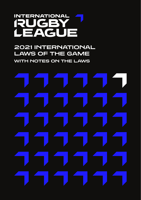# **INTERNATIONAL** RUGBY EAGUE

# **2021 INTERNATIONAL LAWS OF THE GAME**

**WITH NOTES ON THE LAWS**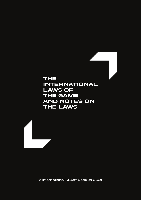# THE INTERNATIONAL LAWS OF THE GAME AND NOTES ON THE LAWS



© International Rugby League 2021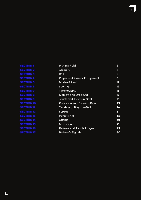| <b>Playing Field</b>          | 2  |
|-------------------------------|----|
| Glossary                      | 4  |
| Ball                          | 8  |
| Player and Players' Equipment | 9  |
| Mode of Play                  | π  |
| Scoring                       | 12 |
| Timekeeping                   | 16 |
| Kick-off and Drop Out         | 18 |
| Touch and Touch in-Goal       | 21 |
| Knock-on and Forward Pass     | 23 |
| Tackle and Play-the-Ball      | 24 |
| Scrum                         | 31 |
| <b>Penalty Kick</b>           | 35 |
| Offside                       | 39 |
| Misconduct                    | 41 |
| Referee and Touch Judges      | 45 |
| Referee's Signals             | 50 |
|                               |    |

r.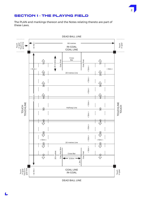# SECTION 1 - THE PLAYING FIELD

The PLAN and markings thereon and the Notes relating thereto are part of these Laws.



DEAD BALL LINE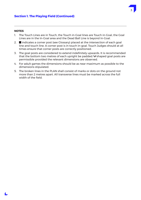### **Section 1. The Playing Field (Continued)**

#### **NOTES**

- 1. The Touch Lines are in Touch, the Touch in-Goal lines are Touch in-Goal, the Goal Lines are in the In-Goal area and the Dead Ball Line is beyond In-Goal.
- 2.  $\blacksquare$  indicates a corner post (see Glossary) placed at the intersection of each goal line and touch line. A corner post is in touch in-goal. Touch Judges should at all times ensure that corner posts are correctly positioned.
- 3. The goal posts are considered to extend indefinitely upwards. It is recommended that the bottom two metres of each upright be padded.  $\bm{\mathsf{H}}$  shaped goal posts are permissible provided the relevant dimensions are observed.
- 4. For adult games the dimensions should be as near maximum as possible to the dimensions stipulated.
- 5. The broken lines in the PLAN shall consist of marks or dots on the ground not more than 2 metres apart. All transverse lines must be marked across the full width of the field.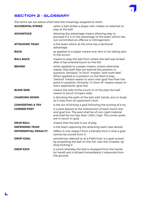

# SECTION 2 - GLOSSARY

The terms set out below shall have the meanings assigned to them.

| <b>ACCIDENTAL STRIKE</b>    | when a ball strikes a player who makes no attempt to<br>play at the ball.                                                                                                                                                                                                                                                                                                   |
|-----------------------------|-----------------------------------------------------------------------------------------------------------------------------------------------------------------------------------------------------------------------------------------------------------------------------------------------------------------------------------------------------------------------------|
| <b>ADVANTAGE</b>            | allowing the advantage means allowing play to<br>proceed if it is to the advantage of the team which has<br>not committed an offence or infringement.                                                                                                                                                                                                                       |
| <b>ATTACKING TEAM</b>       | is the team which at the time has a territorial<br>advantage.                                                                                                                                                                                                                                                                                                               |
| <b>BACK</b>                 | as applied to a player means one who is not taking part<br>in the scrum.                                                                                                                                                                                                                                                                                                    |
| <b>BALL BACK</b>            | means to play the ball from where the ball was kicked<br>after it has entered touch on the full.                                                                                                                                                                                                                                                                            |
| <b>BEHIND</b>               | when applied to a player means, unless otherwise<br>stated, that both feet are behind the position in<br>question. Similarly "in front" implies "with both feet".<br>When applied to a position on the field of play,<br>"behind" means nearer to one's own goal line than the<br>point in question. Similarly "in front of" means nearer to<br>one's opponents' goal line. |
| <b>BLIND SIDE</b>           | means the side of the scrum or of the play-the-ball<br>nearer to touch (cf.open side).                                                                                                                                                                                                                                                                                      |
| <b>CHARGING DOWN</b>        | is blocking the path of the ball with hands, arm or body<br>as it rises from an opponent's kick.                                                                                                                                                                                                                                                                            |
| <b>CONVERTING A TRY</b>     | is the act of kicking a goal following the scoring of a try.                                                                                                                                                                                                                                                                                                                |
| <b>CORNER POST</b>          | is a post placed at the intersection of each touch line<br>and goal line. The post shall be of non-rigid material<br>and shall be not less than 1.25m. high. The corner posts<br>are in touch in-goal.                                                                                                                                                                      |
| <b>DEAD BALL</b>            | means that the ball is out of play.                                                                                                                                                                                                                                                                                                                                         |
| <b>DEFENDING TEAM</b>       | is the team opposing the attacking team (see above).                                                                                                                                                                                                                                                                                                                        |
| <b>DIFFERENTIAL PENALTY</b> | differs in one respect from a Penalty Kick in that a goal<br>cannot be scored from it.                                                                                                                                                                                                                                                                                      |
| <b>DROP GOAL</b>            | sometimes referred to as a Field Goal, is a goal scored<br>by propelling the ball on the full, over the crossbar, by<br>drop kicking it.                                                                                                                                                                                                                                    |
| <b>DROP KICK</b>            | is a kick whereby the ball is dropped from the hands<br>(or hand) and is kicked immediately it rebounds from<br>the ground.                                                                                                                                                                                                                                                 |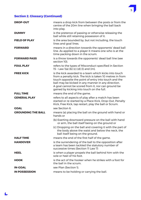

# **Section 2. Glossary (Continued)**

| <b>DROP-OUT</b>           | means a drop kick from between the posts or from the<br>centre of the 20m line when bringing the ball back<br>into play.                                                                                                                                                                                                          |
|---------------------------|-----------------------------------------------------------------------------------------------------------------------------------------------------------------------------------------------------------------------------------------------------------------------------------------------------------------------------------|
| <b>DUMMY</b>              | is the pretence of passing or otherwise releasing the<br>ball while still retaining possession of it.                                                                                                                                                                                                                             |
| <b>FIELD OF PLAY</b>      | is the area bounded by, but not including, the touch<br>lines and goal lines.                                                                                                                                                                                                                                                     |
| <b>FORWARD</b>            | means in a direction towards the opponents' dead ball<br>line. As applied to a player it means one who is at the<br>time packing down in the scrum.                                                                                                                                                                               |
| <b>FORWARD PASS</b>       | is a throw towards the opponents' dead ball line (see<br>section 10).                                                                                                                                                                                                                                                             |
| <b>FOUL PLAY</b>          | refers to the types of Misconduct specified in Section<br>15 - Law 1(a) (b) (c) (d) (l) and (m).                                                                                                                                                                                                                                  |
| <b>FREE KICK</b>          | is the kick awarded to a team which kicks into touch<br>from a penalty kick. The kick is taken 10 metres in from<br>touch opposite the point of entry into touch and the<br>ball may be kicked in any manner in any direction.<br>A goal cannot be scored from it, nor can ground be<br>gained by kicking into touch on the full. |
| <b>FULL TIME</b>          | means the end of the game.                                                                                                                                                                                                                                                                                                        |
| <b>GENERAL PLAY</b>       | refers to all aspects of play after a match has been<br>started or re-started by a Place Kick, Drop-Out, Penalty<br>Kick, Free Kick, tap restart, play the ball or Scrum.                                                                                                                                                         |
| <b>GOAL</b>               | see Section 6.                                                                                                                                                                                                                                                                                                                    |
| <b>GROUNDING THE BALL</b> | means (a) placing the ball on the ground with hand or<br>hands or                                                                                                                                                                                                                                                                 |
|                           | (b) Exerting downward pressure on the ball with hand<br>or arm, the ball itself being on the ground or                                                                                                                                                                                                                            |
|                           | (c) Dropping on the ball and covering it with the part of<br>the body above the waist and below the neck, the<br>ball itself being on the ground.                                                                                                                                                                                 |
| <b>HALF TIME</b>          | means the end of the first half of the game.                                                                                                                                                                                                                                                                                      |
| <b>HANDOVER</b>           | is the surrendering of the ball to the opposition after<br>a team has been tackled the statutory number of<br>successive times (Section 11 Law 7)                                                                                                                                                                                 |
| <b>HEEL</b>               | is when a player propels the ball behind him with the<br>sole or heel of his foot.                                                                                                                                                                                                                                                |
| <b>HOOK</b>               | is the act of the hooker when he strikes with a foot for<br>the ball in the scrum.                                                                                                                                                                                                                                                |
| <b>IN-GOAL</b>            | see Plan (Section 1).                                                                                                                                                                                                                                                                                                             |
| <b>IN POSSESSION</b>      | means to be holding or carrying the ball.                                                                                                                                                                                                                                                                                         |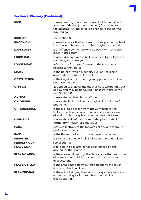

# **Section 2. Glossary (Continued)**

| <b>KICK</b>          | means making intentional contact with the ball with<br>any part of the leg (except the heel) from knee to<br>toe inclusive. An indicator is a change to the normal<br>running gait. |
|----------------------|-------------------------------------------------------------------------------------------------------------------------------------------------------------------------------------|
| <b>KICK OFF</b>      | see Section 8                                                                                                                                                                       |
| <b>KNOCK-ON</b>      | means to knock the ball towards the opponents' dead<br>ball line with hand or arm, while playing at the ball.                                                                       |
| <b>LOOSE ARM</b>     | is an offence by the hooker if he packs with one arm<br>loose in the scrum.                                                                                                         |
| <b>LOOSE BALL</b>    | is when during play the ball is not held by a player and<br>not being scrummaged.                                                                                                   |
| <b>LOOSE HEAD</b>    | refers to the front row forward in the scrum who is<br>nearest to the referee.                                                                                                      |
| <b>MARK</b>          | is the point at which a penalty kick or free kick is<br>awarded or a scrum is formed.                                                                                               |
| <b>OBSTRUCTION</b>   | is the illegal act of impeding an opponent who does<br>not have the ball.                                                                                                           |
| <b>OFFSIDE</b>       | as applied to a player means that he is temporarily out<br>of play and may be penalised if he joins in the game<br>(see Section 14).                                                |
| <b>ON SIDE</b>       | means that a player is not offside.                                                                                                                                                 |
| <b>ON THE FULL</b>   | means the ball is kicked over a given line without first<br>bouncing.                                                                                                               |
| <b>OPTIONAL KICK</b> | is the kick to be taken from the 20m restart. The<br>kick can be taken in any manner and kicked in any<br>direction. It is in play from the moment it is kicked.                    |
| <b>OPEN SIDE</b>     | means the side of the scrum or the play-the-ball<br>further from touch (cf. Blind Side).                                                                                            |
| <b>PACK</b>          | refers collectively to the forwards of any one team. To<br>pack down means to form a scrum.                                                                                         |
| <b>PASS</b>          | is the throw of a ball from one player to another.                                                                                                                                  |
| <b>PENALISE</b>      | is to award a penalty kick against an offending player.                                                                                                                             |
| <b>PENALTY KICK</b>  | see Section 13.                                                                                                                                                                     |
| <b>PLACE KICK</b>    | is to kick the ball after it has been placed on the<br>ground for that purpose.                                                                                                     |
| <b>PLAYING AREA</b>  | is the area enclosed by the fence, or other such line<br>of demarcation, which prevents the encroachment<br>of spectators.                                                          |
| <b>PLAYING FIELD</b> | is the area bounded by, but not including the touch<br>lines and dead ball lines.                                                                                                   |
| <b>PLAY-THE-BALL</b> | is the act of bringing the ball into play after a tackle or<br>when the ball goes into touch in general play.<br>(see Section 11).                                                  |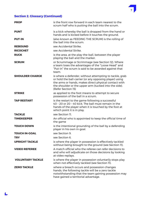

# **Section 2. Glossary (Continued)**

| <b>PROP</b>             | is the front row forward in each team nearest to the<br>scrum half who is putting the ball into the scrum.                                                                                                                                                 |
|-------------------------|------------------------------------------------------------------------------------------------------------------------------------------------------------------------------------------------------------------------------------------------------------|
| <b>PUNT</b>             | is a kick whereby the ball is dropped from the hand or<br>hands and is kicked before it touches the ground.                                                                                                                                                |
| <b>PUT-IN</b>           | (also known as FEEDING THE SCRUM) is the rolling of<br>the ball into the scrum.                                                                                                                                                                            |
| <b>REBOUND</b>          | see Accidental Strike.                                                                                                                                                                                                                                     |
| <b>RICOCHET</b>         | see Accidental Strike.                                                                                                                                                                                                                                     |
| <b>RUCK</b>             | is the area, at the play-the-ball, between the player<br>playing the ball and the marker.                                                                                                                                                                  |
| <b>SCRUM</b>            | or Scrummage or Scrimmage (see Section 12). Where<br>a team loses the advantages of the "Loose Head" and<br>"Put-in" the scrum is said to be awarded against that<br>team.                                                                                 |
| <b>SHOULDER CHARGE</b>  | is where a defender, without attempting to tackle, grab<br>or hold the ball-carrier (or any opposing player) using<br>the arms or hands, makes direct physical contact with<br>the shoulder or the upper arm (tucked into the side).<br>(Refer Section 15) |
| <b>STRIKE</b>           | as applied to the foot means to attempt to secure<br>possession of the ball in a scrum.                                                                                                                                                                    |
| <b>TAP RESTART</b>      | is the restart to the game following a successful<br>40 - 20 or 20 - 40 kick. The ball must remain in the<br>hands of the player when it is touched by the foot at<br>which point it is in play.                                                           |
| <b>TACKLE</b>           | see Section 11.                                                                                                                                                                                                                                            |
| <b>TIMEKEEPER</b>       | An official who is appointed to keep the official time of<br>the game                                                                                                                                                                                      |
| <b>TOUCH DOWN</b>       | is the intentional grounding of the ball by a defending<br>player in his own in-goal.                                                                                                                                                                      |
| <b>TOUCH IN-GOAL</b>    | see Section 9.                                                                                                                                                                                                                                             |
| <b>TRY</b>              | see Section 6.                                                                                                                                                                                                                                             |
| <b>UPRIGHT TACKLE</b>   | is where the player in possession is effectively tackled<br>without being brought to the ground (see Section II).                                                                                                                                          |
| <b>VIDEO REFEREE</b>    | A match official who the referee can refer decisions to<br>and who will adjudicate on those decisions by looking<br>at video replays.                                                                                                                      |
| <b>VOLUNTARY TACKLE</b> | is where the player in possession voluntarily stops play<br>when not effectively tackled (see Section II).                                                                                                                                                 |
| <b>ZERO TACKLE</b>      | where a breach occurs and possession changes<br>hands, the following tackle will be a zero tackle<br>notwithstanding that the team gaining possession may<br>have gained a territorial advantage.                                                          |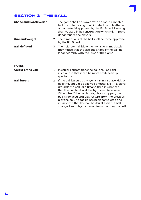#### 8

# SECTION 3 - THE BALL

| <b>Shape and Construction</b> | 1. | The game shall be played with an oval air-inflated<br>ball the outer casing of which shall be of leather or<br>other material approved by the IRL Board. Nothing<br>shall be used in its construction which might prove<br>dangerous to the players.                                                                                                                                                                                                                                                              |
|-------------------------------|----|-------------------------------------------------------------------------------------------------------------------------------------------------------------------------------------------------------------------------------------------------------------------------------------------------------------------------------------------------------------------------------------------------------------------------------------------------------------------------------------------------------------------|
| <b>Size and Weight</b>        |    | 2. The dimensions of the ball shall be those approved<br>by the IRL Board.                                                                                                                                                                                                                                                                                                                                                                                                                                        |
| <b>Ball deflated</b>          |    | 3. The Referee shall blow their whistle immediately<br>they notice that the size and shape of the ball no<br>longer comply with the Laws of the Game.                                                                                                                                                                                                                                                                                                                                                             |
| <b>NOTES</b>                  |    |                                                                                                                                                                                                                                                                                                                                                                                                                                                                                                                   |
| <b>Colour of the Ball</b>     | 1. | In senior competitions the ball shall be light<br>in colour so that it can be more easily seen by<br>spectators.                                                                                                                                                                                                                                                                                                                                                                                                  |
| <b>Ball bursts</b>            | 2. | If the ball bursts as a player is taking a place kick at<br>goal they should be allowed another kick. If a player<br>grounds the ball for a try and then it is noticed<br>that the ball has burst the try should be allowed.<br>Otherwise, if the ball bursts, play is stopped, the<br>ball is replaced and play restarts from the previous<br>play the ball. If a tackle has been completed and<br>it is noticed that the ball has burst then the ball is<br>changed and play continues from that play the ball. |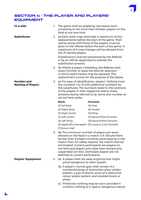# SECTION 4 - THE PLAYER AND PLAYERS' EQUIPMENT

| 13-a-side                                     | 1. | field at any one time.                                              | The game shall be played by two teams each<br>consisting of not more than thirteen players on the                                                                                                                                                                                                                                                                       |
|-----------------------------------------------|----|---------------------------------------------------------------------|-------------------------------------------------------------------------------------------------------------------------------------------------------------------------------------------------------------------------------------------------------------------------------------------------------------------------------------------------------------------------|
| <b>Substitutes</b>                            | 2. | the 17 named players.                                               | (a) Each team may nominate a maximum of four<br>replacements before the start of the game. Their<br>names along with those of the players must be<br>given to the referee before the start of the game. A<br>maximum of 8 interchanges will be allowed from                                                                                                             |
|                                               |    | or by an official appointed to oversee the<br>substitution process. | Substitutions shall be sanctioned by the Referee                                                                                                                                                                                                                                                                                                                        |
|                                               |    |                                                                     | 2. (b) Where a player is bleeding, the Referee shall<br>direct him/her to leave the field for attention<br>in which event he/she may be replaced. This<br>replacement counts for the purpose of 2(a) above.                                                                                                                                                             |
| <b>Number and</b><br><b>Naming of Players</b> | 3. | set out here under.                                                 | (a) For ease of identification, players' clothing must<br>the numbers 1 to 13 with additional numbers for<br>the substitutes. The numbers relate to the positions<br>of the players in their respective teams, these<br>positions being referred to by name and number as                                                                                               |
|                                               |    | <b>Backs</b>                                                        | <b>Forwards</b>                                                                                                                                                                                                                                                                                                                                                         |
|                                               |    | (1) Full Back                                                       | $(8)$ Prop                                                                                                                                                                                                                                                                                                                                                              |
|                                               |    | (2) Right Wing                                                      | (9) Hooker                                                                                                                                                                                                                                                                                                                                                              |
|                                               |    | (3) Right Centre                                                    | $(10)$ Prop                                                                                                                                                                                                                                                                                                                                                             |
|                                               |    | (4) Left Centre                                                     | (11) Second Row Forward                                                                                                                                                                                                                                                                                                                                                 |
|                                               |    | (5) Left Wing                                                       | (12) Second Row Forward                                                                                                                                                                                                                                                                                                                                                 |
|                                               |    |                                                                     | (6) Stand off or five eighth (13) Loose or Lock Forward                                                                                                                                                                                                                                                                                                                 |
|                                               |    | (7) Scrum Half                                                      |                                                                                                                                                                                                                                                                                                                                                                         |
|                                               | 3. | deemed as current participants.                                     | (b) The minimum number of players per team<br>allowed on the field in a match is 9. Should there<br>be less than 9 players currently participating in the<br>match then, for safety reasons, the match shall be<br>terminated. Current participants are players on<br>the field and players who have been temporarily<br>suspended (sin bin). Dismissed players are not |
| <b>Players' Equipment</b>                     |    | prove dangerous to other players.                                   | 4. (a) A player shall not wear anything that might                                                                                                                                                                                                                                                                                                                      |
|                                               |    | (b) A player's normal gear shall consist of a<br>shoes.             | numbered jersey of distinctive colour and/or<br>pattern, a pair of shorts, socks of a distinctive<br>colour and/or pattern and studded boots or                                                                                                                                                                                                                         |
|                                               |    |                                                                     | (c) Protective clothing may be worn provided it<br>contains nothing of a rigid or dangerous nature.                                                                                                                                                                                                                                                                     |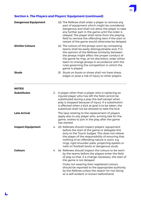# **Section 4. The Players and Players' Equipment (continued)**

| <b>Dangerous Equipment</b> |    | (d) The Referee shall order a player to remove any<br>part of equipment which might be considered<br>dangerous and shall not allow the player to take<br>any further part in the game until the order is<br>obeyed. The player shall retire from the playing<br>field to remove the offending item if the start or<br>restart of the game would otherwise be delayed.           |
|----------------------------|----|---------------------------------------------------------------------------------------------------------------------------------------------------------------------------------------------------------------------------------------------------------------------------------------------------------------------------------------------------------------------------------|
| <b>Similar Colours</b>     |    | (e) The colours of the jerseys worn by competing<br>teams shall be easily distinguishable and, if in<br>the opinion of the Referee similarity between<br>the jerseys might affect the proper conduct of<br>the game he may, at his discretion, order either<br>team to change jerseys in accordance with the<br>rules governing the competition in which the<br>game is played. |
| <b>Studs</b>               |    | (f) Studs on boots or shoes shall not have sharp<br>edges or pose a risk of injury to other players.                                                                                                                                                                                                                                                                            |
| <b>NOTES</b>               |    |                                                                                                                                                                                                                                                                                                                                                                                 |
| <b>Substitutes</b>         |    | 2. A player other than a player who is replacing an<br>injured player who has left the field cannot be<br>substituted during a play-the-ball except when<br>play is stopped because of injury. If a substitution<br>is effected when a kick at goal is to be taken, the<br>substitute shall not be allowed to take the kick.                                                    |
| <b>Late Arrival</b>        |    | The laws relating to the replacement of players<br>apply also to any player who, arriving late for the<br>game, wishes to join in the play after the game<br>has started.                                                                                                                                                                                                       |
| <b>Inspect Equipment</b>   | 4. | (d) Referees should inspect players' equipment<br>before the start of the game or delegate this<br>duty to the Touch Judges. This does not relieve<br>the player of the responsibility of ensuring that<br>nothing of an offending nature is worn, e.g.<br>rings, rigid shoulder pads, projecting eyelets or<br>nails on football boots or dangerous studs.                     |
| <b>Colours</b>             | 4. | (e) Referees should inspect the colours to be worn<br>by the teams before the players enter the field<br>of play so that, if a change necessary, the start of<br>the game is not delayed.                                                                                                                                                                                       |
|                            |    | Clubs not wearing their registered colours<br>should be reported to the appropriate authority<br>by the Referee unless the reason for not doing<br>so is self-evident or known beforehand.                                                                                                                                                                                      |

10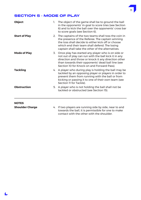# SECTION 5 - MODE OF PLAY

L

| <b>Object</b>          | 1. | The object of the game shall be to ground the ball<br>in the opponents' in-goal to score tries (see Section<br>6) and to kick the ball over the opponents' cross bar<br>to score goals (see Section 6).                                                                 |
|------------------------|----|-------------------------------------------------------------------------------------------------------------------------------------------------------------------------------------------------------------------------------------------------------------------------|
| <b>Start of Play</b>   |    | 2. The captains of the two teams shall toss the coin in<br>the presence of the Referee. The captain winning<br>the toss shall decide to either kick off or choose<br>which end their team shall defend. The losing<br>captain shall take the other of the alternatives. |
| <b>Mode of Play</b>    |    | 3. Once play has started any player who is on side or<br>not out of play can run with the ball kick it in any<br>direction and throw or knock it any direction other<br>than towards their opponents' dead ball line (see<br>Section 10 for Knock-on and Forward Pass). |
| <b>Tackling</b>        |    | 4. A player who during play is holding the ball may be<br>tackled by an opposing player or players in order to<br>prevent them from running with the ball or from<br>kicking or passing it to one of their own team (see<br>Section 11 for Tackle).                     |
| <b>Obstruction</b>     |    | 5. A player who is not holding the ball shall not be<br>tackled or obstructed (see Section 15).                                                                                                                                                                         |
| <b>NOTES</b>           |    |                                                                                                                                                                                                                                                                         |
| <b>Shoulder Charge</b> |    | 4. If two players are running side by side, near to and                                                                                                                                                                                                                 |

towards the ball, it is permissible for one to make contact with the other with the shoulder.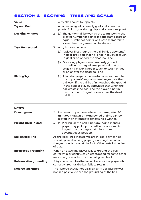# SECTION 6 - SCORING – TRIES AND GOALS

| <b>Value</b><br><b>Try and Goal</b><br><b>Deciding winners</b><br>Try - How scored | 1. | A try shall count four points.<br>A conversion goal or penalty goal shall count two<br>points. A drop goal during play shall count one point.<br>2. (a) The game shall be won by the team scoring the<br>greater number of points. If both teams score an<br>equal number of points, or if both teams fail to<br>score, then the game shall be drawn.<br>3. A try is scored when:-<br>(a) A player first grounds the ball in his opponents'<br>in-goal, provided that he is not in touch or touch |
|------------------------------------------------------------------------------------|----|---------------------------------------------------------------------------------------------------------------------------------------------------------------------------------------------------------------------------------------------------------------------------------------------------------------------------------------------------------------------------------------------------------------------------------------------------------------------------------------------------|
|                                                                                    |    | in-goal or on or over the dead ball line.<br>(b) Opposing players simultaneously ground<br>the ball in the in-goal area provided that the<br>attacking player is not in touch or touch in-goal<br>or on or over the dead ball line.                                                                                                                                                                                                                                                               |
| <b>Sliding Try</b>                                                                 |    | (c) A tackled player's momentum carries him into<br>the opponents' in-goal where he grounds the<br>ball even if the ball has first touched the ground<br>in the field of play but provided that when the<br>ball crosses the goal line the player is not in<br>touch or touch in-goal or on or over the dead<br>ball line.                                                                                                                                                                        |
| <b>NOTES</b>                                                                       |    |                                                                                                                                                                                                                                                                                                                                                                                                                                                                                                   |
| Drawn game                                                                         |    | 2. In some competitions where the game, after 80<br>minutes is drawn, an extra period of time can be<br>played in an attempt to determine a winner.                                                                                                                                                                                                                                                                                                                                               |
| Picking up in in-goal                                                              |    | 3. (a) Picking up the ball is not grounding it and a<br>player may pick up the ball in his opponents'<br>in-goal in order to ground it in a more<br>advantageous position.                                                                                                                                                                                                                                                                                                                        |
| <b>Ball on goal line</b>                                                           |    | As the goal lines themselves are in-goal a try can be<br>scored by an attacking player grounding the ball on<br>the goal line, but not at the foot of the posts in the field                                                                                                                                                                                                                                                                                                                      |

of play. **Incorrectly grounding** When an attacking player fails to ground the ball correctly, play continues unless stopped for some other reason, e.g. a knock-on or the ball goes dead. **Release after grounding** A try should not be disallowed because the player who

correctly grounds the ball fails to retain it. **Referee unsighted** The Referee should not disallow a try because he was not in a position to see the grounding of the ball.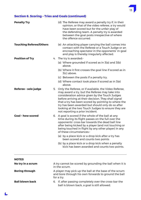# **Section 6. Scoring – Tries and Goals (continued)**

 $\blacktriangle$ 

| <b>Penalty Try</b>             | (d) The Referee may award a penalty try if, in their<br>opinion, or that of the video referee, a try would<br>have been scored but for the unfair play of<br>the defending team. A penalty try is awarded<br>between the goal posts irrespective of where<br>the offence occurred.                                                                                                                                       |
|--------------------------------|--------------------------------------------------------------------------------------------------------------------------------------------------------------------------------------------------------------------------------------------------------------------------------------------------------------------------------------------------------------------------------------------------------------------------|
| <b>Touching Referee/Others</b> | (e) An attacking player carrying the ball comes into<br>contact with the Referee or a Touch Judge or an<br>encroaching spectator in the opponents' in-goal<br>and play is thereby irregularly affected.                                                                                                                                                                                                                  |
| <b>Position of Try</b>         | 4. The try is awarded:-                                                                                                                                                                                                                                                                                                                                                                                                  |
|                                | (a) Where grounded if scored as in $3(a)$ and $3(b)$<br>above.                                                                                                                                                                                                                                                                                                                                                           |
|                                | (b) Where it first crosses the goal line if scored as in<br>3(c) above.                                                                                                                                                                                                                                                                                                                                                  |
|                                | (c) Between the posts if a penalty try.                                                                                                                                                                                                                                                                                                                                                                                  |
|                                | (d) Where contact took place if scored as in 3(e)<br>above.                                                                                                                                                                                                                                                                                                                                                              |
| Referee - sole judge           | 5. Only the Referee, or if available, the Video Referee,<br>may award a try, but the Referee may take into<br>consideration advice given by the Touch Judges<br>before arriving at their decision. They shall signal<br>that a try has been scored by pointing to where the<br>try has been awarded but should only do so after<br>looking at the two Touch Judges to ensure they are<br>not reporting a prior incident. |
| <b>Goal - how scored</b>       | 6. A goal is scored if the whole of the ball at any<br>time during its flight passes on the full over the<br>opponents' cross bar towards the dead ball line<br>after being kicked by a player (and not touching or<br>being touched in flight by any other player) in any<br>of these circumstances:-                                                                                                                   |
|                                | (a) by a place kick or a drop kick after a try has<br>been scored and counts two points                                                                                                                                                                                                                                                                                                                                  |
|                                | (b) by a place kick or a drop kick when a penalty<br>kick has been awarded and counts two points.                                                                                                                                                                                                                                                                                                                        |
| <b>NOTES</b>                   |                                                                                                                                                                                                                                                                                                                                                                                                                          |
| No try in a scrum              | A try cannot be scored by grounding the ball when it is<br>in the scrum.                                                                                                                                                                                                                                                                                                                                                 |
| <b>Boring through</b>          | A player may pick up the ball at the base of the scrum<br>and bore through his own forwards to ground the ball<br>for a try.                                                                                                                                                                                                                                                                                             |
| <b>Ball blown back</b>         | 6. If, after passing completely over the cross-bar the<br>ball is blown back, a goal is still allowed.                                                                                                                                                                                                                                                                                                                   |

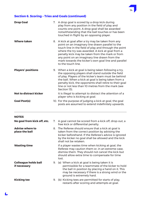

# **Section 6. Scoring – Tries and Goals (continued)**

| <b>Drop Goal</b>                            |    | 7. A drop goal is scored by a drop kick during<br>play from any position in the field of play and<br>counts one point. A drop goal shall be awarded<br>notwithstanding that the ball touches or has been<br>touched in flight by an opposing player.                                                                                                                                                   |
|---------------------------------------------|----|--------------------------------------------------------------------------------------------------------------------------------------------------------------------------------------------------------------------------------------------------------------------------------------------------------------------------------------------------------------------------------------------------------|
| <b>Where taken</b>                          |    | 8. A kick at goal after a try may be taken from any<br>point on an imaginary line drawn parallel to the<br>touch line in the field of play and through the point<br>where the try was awarded. A kick at goal from a<br>penalty kick may be taken from the mark or from<br>any point on an imaginary line drawn from the<br>mark towards the kicker's own goal line and parallel<br>to the touch line. |
| <b>Players' positions</b>                   |    | 9. When a kick at goal is being taken following a try,<br>the opposing players shall stand outside the field<br>of play. Players of the kicker's team must be behind<br>the ball. When a kick at goal is being taken from a<br>penalty kick, the opponents shall retire to their goal<br>line or not less than 10 metres from the mark (see<br>Section 13).                                            |
| <b>Not to distract kicker</b>               |    | It is illegal to attempt to distract the attention of a<br>player who is kicking at goal.                                                                                                                                                                                                                                                                                                              |
| <b>Goal Post(s)</b>                         |    | 10. For the purpose of judging a kick at goal, the goal<br>posts are assumed to extend indefinitely upwards.                                                                                                                                                                                                                                                                                           |
| <b>NOTES</b>                                |    |                                                                                                                                                                                                                                                                                                                                                                                                        |
| No goal from kick off, etc.                 |    | 7. A goal cannot be scored from a kick off, drop-out, a<br>free kick or differential penalty.                                                                                                                                                                                                                                                                                                          |
| <b>Advise where to</b><br>place the ball    | 8. | The Referee should ensure that a kick at goal is<br>taken from the correct position by advising the<br>kicker beforehand. If the Referee's advice is ignored<br>by the kicker no goal shall be allowed and the kick<br>shall not be retaken.                                                                                                                                                           |
| <b>Wasting time</b>                         |    | If a player wastes time when kicking at goal, the<br>Referee may caution them or, in an extreme case,<br>dismiss them. They should not cancel the kick but<br>should allow extra time to compensate for time<br>lost.                                                                                                                                                                                  |
| <b>Colleague holds ball</b><br>if necessary |    | 9. (a) When a kick at goal is being taken it is<br>permissible for a teammate of the kicker to hold<br>the ball in position by placing a hand on it. This<br>may be necessary if there is a strong wind or the<br>ground is extremely hard.                                                                                                                                                            |
| <b>Kicking tee</b>                          |    | 9. (b) Kicking tees are permitted for starts of play,<br>restarts after scoring and attempts at goal.                                                                                                                                                                                                                                                                                                  |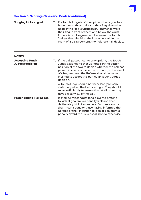# **Section 6. Scoring – Tries and Goals (continued)**

L

| Judging kicks at goal                             | 11. If a Touch Judge is of the opinion that a goal has<br>been scored they shall raise their flag above their<br>head. If the kick is unsuccessful they shall wave<br>their flag in front of them and below the waist.<br>If there is no disagreement between the Touch<br>Judges their decision shall be accepted. In the<br>event of a disagreement, the Referee shall decide. |
|---------------------------------------------------|----------------------------------------------------------------------------------------------------------------------------------------------------------------------------------------------------------------------------------------------------------------------------------------------------------------------------------------------------------------------------------|
| <b>NOTES</b>                                      |                                                                                                                                                                                                                                                                                                                                                                                  |
| <b>Accepting Touch</b><br><b>Judge's decision</b> | 11. If the ball passes near to one upright, the Touch<br>Judge assigned to that upright is in the better<br>position of the two to decide whether the ball has<br>passed inside or outside the post and, in the event<br>of disagreement, the Referee should be more<br>inclined to accept this particular Touch Judge's<br>decision.                                            |
|                                                   | A Touch Judge should not necessarily remain<br>stationary when the ball is in flight. They should<br>move sufficiently to ensure that at all times they<br>have a clear view of the ball.                                                                                                                                                                                        |
| Pretending to kick at goal                        | It shall be misconduct for a player to pretend<br>to kick at goal from a penalty kick and then<br>deliberately kick it elsewhere. Such misconduct<br>shall incur a penalty. Once having informed the<br>Referee of their intention to kick at goal from a<br>penalty award the kicker shall not do otherwise.                                                                    |

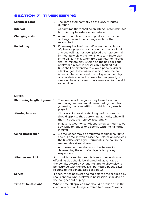

# SECTION 7 - TIMEKEEPING

| <b>Length of game</b> | 1. | The game shall normally be of eighty minutes<br>duration.                                                                                                                                                                                                                                                                                                                                                                                                                                                                                                                                                                                                                               |
|-----------------------|----|-----------------------------------------------------------------------------------------------------------------------------------------------------------------------------------------------------------------------------------------------------------------------------------------------------------------------------------------------------------------------------------------------------------------------------------------------------------------------------------------------------------------------------------------------------------------------------------------------------------------------------------------------------------------------------------------|
| <b>Interval</b>       |    | At half time there shall be an interval of ten minutes<br>but this may be extended or reduced.                                                                                                                                                                                                                                                                                                                                                                                                                                                                                                                                                                                          |
| <b>Changing ends</b>  |    | 2. A team shall defend one in-goal for the first half<br>of the game and then change ends for the<br>second half.                                                                                                                                                                                                                                                                                                                                                                                                                                                                                                                                                                       |
| End of play           |    | 3. If time expires in either half when the ball is out<br>of play or a player in possession has been tackled<br>and the ball has not been played the Referee shall<br>immediately blow their whistle to terminate play.<br>If the ball is in play when time expires, the Referee<br>shall terminate play when next the ball goes out<br>of play or a player in possession is tackled but<br>time shall be extended to allow a penalty kick or<br>a kick at goal to be taken, in which case the half<br>is terminated when next the ball goes out of play<br>or a tackle is effected, unless a further penalty is<br>awarded in which case time is extended for the kick<br>to be taken. |

**NOTES**

| <b>Shortening length of game</b> 1. |                                                                                                                                                     | The duration of the game may be reduced by<br>mutual agreement and if permitted by the rules<br>governing the competition in which the game is<br>played.                                                                                                                  |
|-------------------------------------|-----------------------------------------------------------------------------------------------------------------------------------------------------|----------------------------------------------------------------------------------------------------------------------------------------------------------------------------------------------------------------------------------------------------------------------------|
| <b>Altering interval</b>            |                                                                                                                                                     | Clubs wishing to alter the length of the interval<br>should apply to the appropriate authority who will<br>then instruct the Referee accordingly.                                                                                                                          |
|                                     |                                                                                                                                                     | In adverse weather conditions it may sometimes be<br>advisable to reduce or dispense with the half time<br>interval.                                                                                                                                                       |
| <b>Using Timekeeper</b>             |                                                                                                                                                     | 3. A timekeeper may be employed to signal half time<br>and full time, in which case the Referee on receiving<br>the timekeeper's signal, terminates the half in the<br>manner described above.                                                                             |
|                                     |                                                                                                                                                     | A timekeeper may also assist the Referee in<br>determining the end of a player's temporary<br>suspension.                                                                                                                                                                  |
| <b>Allow second kick</b>            |                                                                                                                                                     | If the ball is kicked into touch from a penalty the non-<br>offending side should be allowed full advantage of<br>the penalty award by extending time to allow play to<br>be resumed with the free kick permitted by the Laws<br>relating to the penalty (see Section 13). |
| <b>Scrum</b>                        | If a scrum has been set and fed before time expires play<br>shall continue until a player in possession is tackled or<br>the ball goes out of play. |                                                                                                                                                                                                                                                                            |
| <b>Time off for cautions</b>        |                                                                                                                                                     | Where time off applies, time should be taken off in the<br>event of a caution being delivered to a player/players.                                                                                                                                                         |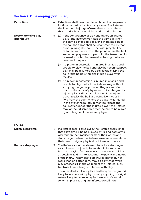# **Section 7. Timekeeping (continued)**

 $\blacktriangle$ 

| <b>Extra time</b>                        | 4. Extra time shall be added to each half to compensate<br>for time wasted or lost from any cause. The Referee<br>shall be the sole judge of extra time except where<br>these duties have been delegated to a timekeeper.                                                                                                                                                                                                                                                                                                                                                                  |
|------------------------------------------|--------------------------------------------------------------------------------------------------------------------------------------------------------------------------------------------------------------------------------------------------------------------------------------------------------------------------------------------------------------------------------------------------------------------------------------------------------------------------------------------------------------------------------------------------------------------------------------------|
| <b>Recommencing play</b><br>after injury | 5. (a) If the continuance of play endangers an injured<br>player the Referee may stop the game. If, when<br>the game is stopped, a player is in possession of<br>the ball the game shall be recommenced by that<br>player playing-the-ball. Otherwise play shall be<br>restarted with a scrum at the point where the ball<br>was when play was stopped with the team then in<br>possession or last in possession, having the loose<br>head and the put-in.                                                                                                                                 |
|                                          | (b) If a player in possession is injured in a tackle and<br>unable to play the ball and play has been stopped,<br>play shall be resumed by a colleague playing the<br>ball at the point where the injured player was<br>tackled.                                                                                                                                                                                                                                                                                                                                                           |
|                                          | (c) If a player in possession is injured in a tackle and<br>unable to play the ball the Referee may without<br>stopping the game, provided they are satisfied<br>that continuance of play would not endanger the<br>injured player, direct a colleague of the injured<br>player to play the ball at a point five metres in-<br>field from the point where the player was injured.<br>In the event that a requirement to release the<br>ball may endanger the injured player, the Referee<br>may, at their discretion, order the ball to be played<br>by a colleague of the injured player. |
| <b>NOTES</b>                             |                                                                                                                                                                                                                                                                                                                                                                                                                                                                                                                                                                                            |
| Signal extra time                        | 4. If a timekeeper is employed, the Referee shall signal<br>that extra time is being allowed by raising both arms<br>whereupon the timekeeper stops their watch and<br>starts it again when the Referee waves one arm above<br>their head to signal play is about to recommence.                                                                                                                                                                                                                                                                                                           |
| <b>Reduce stoppages</b>                  | 5. The Referee should endeavour to reduce stoppages<br>to a minimum. Injured players should be removed<br>from the playing field to receive attention as quickly<br>as possible, taking into account the gravity and nature<br>of the injury. Treatment to an injured player, by not<br>more than one attendant, may be permitted while<br>play proceeds if, in the opinion of the Referee, such<br>treatment is not likely to interfere with play.                                                                                                                                        |
|                                          | The attendant shall not place anything on the ground<br>likely to interfere with play, or carry anything of a rigid<br>nature likely to cause injury in the event of a rapid<br>switch in play causing an unforeseen collision.                                                                                                                                                                                                                                                                                                                                                            |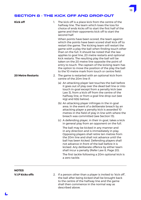# SECTION 8 - THE KICK OFF AND DROP-OUT

| <b>Kick off</b>          | 1. | The kick off is a place kick from the centre of the<br>halfway line. The team which loses the toss for<br>choice of ends kicks off to start the first half of the<br>game and their opponents kick off to start the<br>second half.                                                                                                                                                                                                                                                                                                                                                                          |
|--------------------------|----|--------------------------------------------------------------------------------------------------------------------------------------------------------------------------------------------------------------------------------------------------------------------------------------------------------------------------------------------------------------------------------------------------------------------------------------------------------------------------------------------------------------------------------------------------------------------------------------------------------------|
|                          |    | When points have been scored, the team against<br>which the points have been scored shall kick off to<br>restart the game. The kicking team will restart the<br>game with a play the ball when finding touch other<br>than on the full. It should be noted that the law<br>applies to goal line, 20 metre restarts and optional<br>kick restarts. The resulting play the ball will be<br>taken on the 20 metre line opposite the point of<br>entry to touch. The captain of the kicking team has<br>the option to move the position of the play the ball<br>to the 10 metre mark from touch or centre field. |
| <b>20 Metre Restarts</b> |    | 2. The game is restarted with an optional kick from<br>centre of the 20m line if:                                                                                                                                                                                                                                                                                                                                                                                                                                                                                                                            |
|                          |    | (a) An attacking player last touches the ball before<br>it goes out of play over the dead ball line or into<br>touch in-goal except from a penalty kick (see<br>Law 3), from a kick off from the centre of the<br>halfway line, or from a goal line drop out (see<br>$4(g)$ and $6(b)$ below).                                                                                                                                                                                                                                                                                                               |
|                          |    | (b) An attacking player infringes in the in-goal<br>area. In the event of a deliberate breach by an<br>attacking player a penalty kick is awarded 10<br>metres in the field of play in line with where the<br>breach was committed (see Section 13).                                                                                                                                                                                                                                                                                                                                                         |
|                          |    | (c) A defending player, in their in-goal, takes a kick<br>in general play from an opponent on the full.                                                                                                                                                                                                                                                                                                                                                                                                                                                                                                      |
|                          |    | The ball may be kicked in any manner and<br>in any direction and is immediately in play.<br>Opposing players shall retire ten metres from<br>the 20m line and shall not advance until the<br>ball has been kicked. Defending players shall<br>not advance in front of the ball before it is<br>kicked. Any deliberate offence by either team<br>shall incur a penalty (Refer Law 8, Page 20).<br>The first tackle following a 20m optional kick is<br>a zero tackle.                                                                                                                                         |

# **NOTES**

**V.I.P kicks offs** 2. If a person other than a player is invited to 'kick off', the ball after being kicked shall be brought back to the centre of the halfway line and the game shall then commence in the normal way as described above.

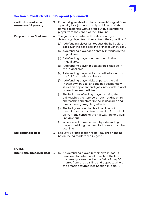# **Section 8. The Kick off and Drop-out (continued)**

L

| - with drop-out after<br>unsuccessful penalty |    | 3. If the ball goes dead in the opponents' in-goal from<br>a penalty kick (not necessarily a kick at goal) the<br>game is restarted with a drop-out by a defending<br>player from the centre of the 20m line. |
|-----------------------------------------------|----|---------------------------------------------------------------------------------------------------------------------------------------------------------------------------------------------------------------|
| <b>Drop-out from Goal line</b>                |    | 4. The game is restarted with a drop-out by a<br>defending player from the centre if their goal line if:                                                                                                      |
|                                               |    | (a) A defending player last touches the ball before it<br>goes over the dead ball line or into touch in-goal.                                                                                                 |
|                                               |    | (b) A defending player accidentally infringes in the<br>in-goal area.                                                                                                                                         |
|                                               |    | (c) A defending player touches down in the<br>in-goal area.                                                                                                                                                   |
|                                               |    | (d) A defending player in possession is tackled in<br>the in-goal area.                                                                                                                                       |
|                                               |    | (e) A defending player kicks the ball into touch on<br>the full from their own in-goal.                                                                                                                       |
|                                               |    | (f) A defending player kicks or passes the ball<br>in their own in-goal and the ball accidentally<br>strikes an opponent and goes into touch in-goal<br>or over the dead ball line.                           |
|                                               |    | (g) The ball or a defending player carrying the<br>ball touches the Referee, a Touch Judge or an<br>encroaching spectator in the in-goal area and<br>play is thereby irregularly affected.                    |
|                                               |    | (h) The ball goes over the dead ball line or into<br>touch in-goal other than on the full from a kick<br>off from the centre of the halfway line or a goal<br>line dropout.                                   |
|                                               |    | Where a kick is made dead by a defending<br>(i)<br>player straddling the dead ball line or touch in-<br>goal line.                                                                                            |
| <b>Ball caught in-goal</b>                    | 5. | See Law 2 of this section re ball caught on the full<br>before being made 'dead in-goal'.                                                                                                                     |
| <b>NOTES</b>                                  |    |                                                                                                                                                                                                               |
| Intentional breach in-goal                    |    | 4. (b) If a defending player in their own in-goal is                                                                                                                                                          |

penalised for intentional breach of the law, the penalty is awarded in the field of play, 10 metres from the goal line and opposite where the breach occurred (see Section 13, para 1).

19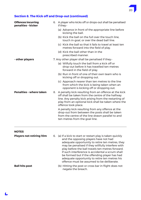

# **Section 8. The Kick off and Drop-out (continued)**

| <b>Offences incurring</b><br>penalties - kicker | 6. A player who kicks off or drops-out shall be penalised<br>if they:-                                                                                                                                                                              |
|-------------------------------------------------|-----------------------------------------------------------------------------------------------------------------------------------------------------------------------------------------------------------------------------------------------------|
|                                                 | (a) Advance in front of the appropriate line before<br>kicking the ball.                                                                                                                                                                            |
|                                                 | (b) Kick the ball on the full over the touch line,<br>touch in-goal, or over the dead ball line.                                                                                                                                                    |
|                                                 | (c) Kick the ball so that it fails to travel at least ten<br>metres forward into the field of play.                                                                                                                                                 |
|                                                 | (d) Kick the ball other than in the<br>prescribed manner.                                                                                                                                                                                           |
| - other players                                 | 7. Any other player shall be penalised if they:-                                                                                                                                                                                                    |
|                                                 | (a) Wilfully touch the ball from a kick off or<br>drop-out before it has travelled ten metres<br>forward in the field of play.                                                                                                                      |
|                                                 | (b) Run in front of one of their own team who is<br>kicking off or dropping out.                                                                                                                                                                    |
|                                                 | (c) Approach nearer than ten metres to the line<br>from which the kick is being taken when an<br>opponent is kicking off or dropping out.                                                                                                           |
| <b>Penalties - where taken</b>                  | 8. A penalty kick resulting from an offence at the kick<br>off shall be taken from the centre of the halfway<br>line. Any penalty kick arising from the restarting of<br>play from an optional kick shall be taken where the<br>offence took place. |
|                                                 | A penalty kick resulting from any offence at the<br>drop-out from between the posts shall be taken<br>from the centre of the line drawn parallel to and<br>ten metres from the goal line.                                                           |
| <b>NOTES</b>                                    |                                                                                                                                                                                                                                                     |
| <b>Players not retiring 10m</b>                 | 6. (a) If a kick to start or restart play is taken quickly<br>and the opposing players have not had                                                                                                                                                 |

|  | and the opposing players have not had                |
|--|------------------------------------------------------|
|  | adequate opportunity to retire ten metres, they      |
|  | may be penalised if they willfully interfere with    |
|  | play before the ball travels ten metres forward.     |
|  | If such interference is accidental a scrum shall     |
|  | be formed but if the offending player has had        |
|  | adequate opportunity to retire ten metres his        |
|  | offence must be assumed to be deliberate.            |
|  | (b) Hitting the post or cross har in flight does not |

**Ball hits post** (b) Hitting the post or cross bar in flight does not negate the breach.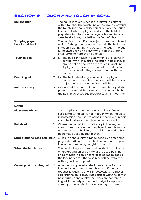# SECTION 9 - TOUCH AND TOUCH IN-GOAL

| <b>Ball in touch</b>                      | 1. | The ball is in touch when it or a player in contact<br>with it touches the touch line or the ground beyond<br>the touch line or any object on or outside the touch<br>line except when a player, tackled in the field of<br>play, steps into touch as he regains his feet in which<br>case, he shall play the ball in the field of play. |
|-------------------------------------------|----|------------------------------------------------------------------------------------------------------------------------------------------------------------------------------------------------------------------------------------------------------------------------------------------------------------------------------------------|
| <b>Jumping player</b><br>knocks ball back |    | The ball is in touch if a player jumps from touch and<br>while off the ground touches the ball. The ball is not<br>in touch if during flight it crosses the touch line but<br>is knocked back by a player who is off the ground<br>after jumping from the field of play.                                                                 |
| <b>Touch in-goal</b>                      |    | 2. (a) The ball is in touch in goal when it or a player in<br>contact with it touches the touch in goal line, or<br>any object on or outside the touch in goal line.<br>A player, who is in possession of the ball, is not<br>in touch in goal if they make contact with the<br>corner post.                                             |
| Dead in goal                              | 2. | (b) The ball is dead in goal when it or a player in<br>contact with it touches the dead ball line or any<br>object on or outside the dead ball line.                                                                                                                                                                                     |
| <b>Points of entry</b>                    |    | 3. When a ball has entered touch or touch in-goal, the<br>point of entry shall be taken as the point at which<br>the ball first crossed the touch or touch in-goal line.                                                                                                                                                                 |

#### **NOTES**

L

| <b>Player not 'object'</b><br>1.        | and 2. A player is not considered to be an "object".<br>For example, the ball is not in touch when the player<br>in possession, themselves being in the field of play is<br>in contact with another player who is in touch.                                                                                                                                                                 |
|-----------------------------------------|---------------------------------------------------------------------------------------------------------------------------------------------------------------------------------------------------------------------------------------------------------------------------------------------------------------------------------------------------------------------------------------------|
| <b>Ball dead</b><br>1.                  | Where the ball which is stationary in the in-goal<br>area comes in contact with a player in touch in-goal<br>or over the dead ball line, the ball is deemed to have<br>been made dead by that player.                                                                                                                                                                                       |
| <b>Straddling the dead ball line 2.</b> | A kick in general play is made dead by a defending<br>player straddling the dead ball line or touch in goal<br>line, other than being caught on the full.                                                                                                                                                                                                                                   |
| When the ball is dead                   | The non kicking team must allow the ball to bounce<br>on the ground on or outside of the dead ball line<br>and/or touch in goal lines for it to be made dead by<br>the kicking team, otherwise play will be restarted<br>with a goal line drop out.                                                                                                                                         |
| Corner post touch in-goal<br>2.         | A corner post placed at the intersection of a touch<br>line and a goal line is in touch in goal if the ball<br>touches it when no one is in possession. If a player<br>carrying the ball comes into contact with the corner<br>post during general play then they are not touch<br>in goal. It is a duty of the touch judge to replace a<br>corner post which is displaced during the game. |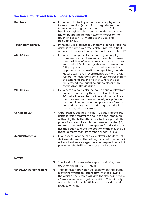

# **Section 9. Touch and Touch In- Goal (continued)**

| <b>Ball back</b>          |    | 4. If the ball is kicked by or bounces off a player in a<br>forward direction (except from in-goal - Section<br>8 Law 4 (e) and it goes into touch on the full, a<br>handover is given where contact with the ball was<br>made (but not nearer than twenty metres to the<br>touch line or ten (10) metres to the goal line) -<br>(see Section 12).                                                                                                                                                                                                                 |
|---------------------------|----|--------------------------------------------------------------------------------------------------------------------------------------------------------------------------------------------------------------------------------------------------------------------------------------------------------------------------------------------------------------------------------------------------------------------------------------------------------------------------------------------------------------------------------------------------------------------|
| <b>Touch from penalty</b> |    | 5. If the ball is kicked into touch from a penalty kick the<br>game is restarted by a free kick ten metres in-field<br>opposite the point of entry into touch (see Section 13).                                                                                                                                                                                                                                                                                                                                                                                    |
| 40 - 20 kick              |    | 6. (a) Where a player kicks the ball in general play<br>from any point in the area bounded by his own<br>dead ball line. 40 metre line and the touch lines.<br>and the ball finds touch, otherwise than on the<br>full, at a point on the touch line between the<br>opponents' 20 metre line and goal line, then the<br>kicker's team shall recommence play with a tap<br>restart. The restart will be taken 20 metres in from<br>the touchline and in line with where the ball<br>first crossed the touchline but no closer than 10<br>metres from the goal line. |
| 20 - 40 kick              |    | 6. (b) Where a player kicks the ball in general play from<br>an area bounded by their own dead ball line,<br>20 metre line and touch lines and the ball finds<br>touch, otherwise than on the full, at a point on<br>the touchline between the opponents 40 metre<br>line and the goal line, the kicking team shall<br>begin play with a tap restart.                                                                                                                                                                                                              |
| Scrum on '20'             | 7. | Other than as outlined in paras. 4, 5 and 6 above, the<br>game is restarted after the ball has gone into touch<br>with a play the ball on the 20 metre line opposite the<br>point of entry into touch but not nearer than ten (10)<br>metres to the goal line. The captain of the kicking team<br>has the option to move the position of the play the ball<br>to the 10 metre mark from touch or centre field.                                                                                                                                                     |
| <b>Accidental strike</b>  | 8. | In all aspects of general play, a player who does not<br>deliberately play at the ball (eg. ricochet or rebound)<br>will not be disadvantaged by a consequent restart of<br>play when the ball has gone dead or into touch.                                                                                                                                                                                                                                                                                                                                        |
| <b>NOTES</b>              |    | 3. See Section 8. Law 4 (e) in respect of kicking into                                                                                                                                                                                                                                                                                                                                                                                                                                                                                                             |
|                           |    | touch on the full from in-goal.                                                                                                                                                                                                                                                                                                                                                                                                                                                                                                                                    |
| 40-20, 20-40 kick restart |    | 6. The tap restart may only be taken when the referee<br>blows the whistle to restart play. Prior to blowing<br>the whistle, the referee will give the defending team<br>a 'reasonable time' to get in position. This will only<br>occur when all match officials are in position and<br>ready to officiate.                                                                                                                                                                                                                                                       |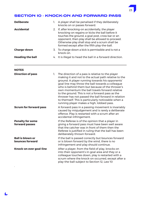# SECTION 10 - KNOCK-ON AND FORWARD PASS

| <b>Deliberate</b>       | 1. | A player shall be penalised if they deliberately<br>knocks on or passes forward.                                                                                                                                                                                                                               |
|-------------------------|----|----------------------------------------------------------------------------------------------------------------------------------------------------------------------------------------------------------------------------------------------------------------------------------------------------------------|
| <b>Accidental</b>       |    | 2. If, after knocking-on accidentally, the player<br>knocking-on regains or kicks the ball before it<br>touches the ground, a goal post, cross bar or an<br>opponent, then play shall be allowed to proceed.<br>Otherwise play shall stop and a scrum shall be<br>formed except after the fifth play-the-ball. |
| <b>Charge-down</b>      |    | 3. To charge-down a kick is permissible and is not a<br>knock-on.                                                                                                                                                                                                                                              |
| <b>Heading the ball</b> |    | 4. It is illegal to head the ball in a forward direction.                                                                                                                                                                                                                                                      |

#### **NOTES**

| <b>Direction of pass</b>                   | 1. | The direction of a pass is relative to the player<br>making it and not to the actual path relative to the<br>ground. A player running towards his opponents'<br>goal line may throw the ball towards a colleague<br>who is behind them but because of the thrower's<br>own momentum the ball travels forward relative<br>to the ground. This is not a forward pass as the<br>thrower has not passed the ball forward in relation<br>to themself. This is particularly noticeable when a<br>running player makes a high, lobbed pass. |
|--------------------------------------------|----|--------------------------------------------------------------------------------------------------------------------------------------------------------------------------------------------------------------------------------------------------------------------------------------------------------------------------------------------------------------------------------------------------------------------------------------------------------------------------------------------------------------------------------------|
| <b>Scrum for forward pass</b>              |    | A forward pass in a passing movement is invariably<br>caused by misjudgement and is rarely a deliberate<br>offence. Play is restarted with a scrum after an<br>accidental infringement.                                                                                                                                                                                                                                                                                                                                              |
| <b>Penalty for some</b><br>forward passes  |    | If the Referee is of the opinion that a player in<br>giving a forward pass must have been well aware<br>that the catcher was in front of them then the<br>Referee is justified in ruling that the ball has been<br>deliberately thrown forward.                                                                                                                                                                                                                                                                                      |
| <b>Ball is blown or</b><br>bounces forward |    | If the ball is passed correctly but bounces forward<br>or is blown forward by the wind, there is no<br>infringement and play should continue.                                                                                                                                                                                                                                                                                                                                                                                        |
| Knock-on over goal-line                    |    | After a player, from the field of play, knocks on<br>into their opponent's in-goal area and they or a<br>colleague touches down, play is restarted with a<br>scrum where the knock-on occurred, except after a<br>play-the-ball subject to Section 12, Law 10                                                                                                                                                                                                                                                                        |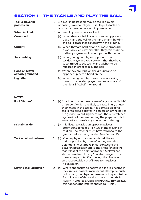# SECTION 11 - THE TACKLE AND PLAY-THE-BALL

24

| <b>Tackle player in</b><br>possession     | 1. | A player in possession may be tackled by an<br>opposing player or players. It is illegal to tackle or<br>obstruct a player who is not in possession.                                                                                                                                                                                                                                      |
|-------------------------------------------|----|-------------------------------------------------------------------------------------------------------------------------------------------------------------------------------------------------------------------------------------------------------------------------------------------------------------------------------------------------------------------------------------------|
| When tackled:                             |    | 2. A player in possession is tackled:                                                                                                                                                                                                                                                                                                                                                     |
| <b>Grounded</b>                           |    | (a) When they are held by one or more opposing<br>players and the ball or the hand or arm holding<br>the ball comes into contact with the ground.                                                                                                                                                                                                                                         |
| <b>Upright</b>                            |    | (b) When they are held by one or more opposing<br>players in such a manner that they can make no<br>further progress and cannot part with the ball.                                                                                                                                                                                                                                       |
| <b>Succumbing</b>                         |    | (c) When, being held by an opponent, the<br>tackled player makes it evident that they have<br>succumbed to the tackle and wishes to be<br>released in order to play the ball.                                                                                                                                                                                                             |
| <b>Hand on player</b><br>already grounded |    | (d) When they are lying on the ground and an<br>opponent places a hand on them.                                                                                                                                                                                                                                                                                                           |
| <b>Leg Lifted</b>                         |    | (e) When, being held by one or more opposing<br>players, the tackled player has one or more of<br>their legs lifted off the ground.                                                                                                                                                                                                                                                       |
| <b>NOTES</b>                              |    |                                                                                                                                                                                                                                                                                                                                                                                           |
| <b>Foul "throws"</b>                      | 1. | (a) A tackler must not make use of any special "holds"<br>or "throws" which are likely to cause injury or use<br>their knees in the tackle. It is permissible for a<br>tackler to bring a player in possession of the ball to<br>the ground by pulling them over the outstretched<br>leg provided they are holding the player with both<br>arms before there is any contact with the leg. |
| Mid-air tackle                            | 1. | (b) It is illegal to tackle an opposing player<br>attempting to field a kick whilst the player is in<br>mid-air. The catcher must have returned to the<br>ground before being tackled (see Section 15).                                                                                                                                                                                   |
| <b>Tackle below the knee</b>              | 1. | (c) When a player in possession is held in an<br>upright position by two defenders, any other<br>defender(s) must make initial contact to the<br>player in possession above the knees/knee joint<br>regardless of the point of impact. A player can                                                                                                                                       |

still be penalised for any 'forceful, dangerous or unnecessary contact' at the legs that involves an unacceptable risk of injury to the player in possession. **Moving tackled player** 2. (a) Where opponents do not make a tackle effective in the quickest possible manner but attempt to push, pull or carry the player in possession, it is permissible

for colleagues of the tackled player to lend their weight in order to avoid losing ground. Immediately this happens the Referee should call "Held".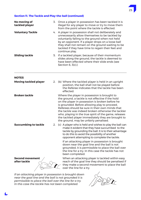| No moving of<br>tackled player                       |    | 3. Once a player in possession has been tackled it is<br>illegal for any player to move or try to move them<br>from the point where the tackle is effected.                                                                                                                                                                                                                                                                                                             |
|------------------------------------------------------|----|-------------------------------------------------------------------------------------------------------------------------------------------------------------------------------------------------------------------------------------------------------------------------------------------------------------------------------------------------------------------------------------------------------------------------------------------------------------------------|
| <b>Voluntary Tackle</b>                              |    | 4. A player in possession shall not deliberately and<br>unnecessarily allow themselves to be tackled by<br>voluntarily falling to the ground when not held<br>by an opponent. If a player drops on a loose ball<br>they shall not remain on the ground waiting to be<br>tackled if they have time to regain their feet and<br>continue play.                                                                                                                            |
| <b>Sliding tackle</b>                                |    | 5. If a tackled player, because of their momentum<br>slides along the ground, the tackle is deemed to<br>have been effected where their slide ends (see<br>Section 6, 3(c).)                                                                                                                                                                                                                                                                                            |
| <b>NOTES</b>                                         |    |                                                                                                                                                                                                                                                                                                                                                                                                                                                                         |
| <b>Moving tackled player</b>                         | 2. | (b) Where the tackled player is held in an upright<br>position, the ball shall not be played before<br>the Referee indicates that the tackle has been<br>effected.                                                                                                                                                                                                                                                                                                      |
| <b>Broken tackle</b>                                 |    | Where the player in possession is brought to<br>the ground, a tackle is not effective if the hold<br>on the player in possession is broken before he<br>is grounded. Before allowing play to proceed,<br>Referees should be sure in their own minds that<br>the tackle was indeed broken otherwise the tackler<br>who, playing in the true spirit of the game, releases<br>the tackled player immediately they are brought to<br>the ground, may be unfairly penalised. |
| <b>Succumbing to tackle</b>                          |    | 2. (c) A player who is held and wishes to play the ball can<br>make it evident that they have succumbed to the<br>tackle by grounding the ball. It is to their advantage<br>to do this to avoid the possibility of another<br>opponent attempting to complete the tackle.                                                                                                                                                                                               |
|                                                      |    | If an attacking player in possession is brought<br>down near the goal line and the ball is not<br>grounded, it is permissible to place the ball over<br>the line for a try. In this case the tackle has not<br>been completed.                                                                                                                                                                                                                                          |
| <b>Second movement</b><br>after tackle               |    | When an attacking player is tackled within easy<br>reach of the goal line they should be penalised if<br>they make a second movement to place the ball<br>over the line for a try.                                                                                                                                                                                                                                                                                      |
| If an attacking player in possession is brought down |    |                                                                                                                                                                                                                                                                                                                                                                                                                                                                         |

*If an attacking player in possession is brought down near the goal line and the ball is not grounded it is permissible to place the ball over the line for a try. In this case the tackle has not been completed.*



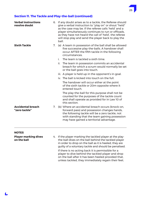| <b>Verbal instructions</b><br>resolve doubt |    | ball. | 6. If any doubt arises as to a tackle, the Referee should<br>give a verbal instruction to "play on" or shout "held"<br>as the case may be. If the referee calls 'held' and a<br>player simultaneously continues to run or offloads,<br>as they have not heard the call of 'held', the referee<br>will stop play and send the player back to play the |
|---------------------------------------------|----|-------|------------------------------------------------------------------------------------------------------------------------------------------------------------------------------------------------------------------------------------------------------------------------------------------------------------------------------------------------------|
| <b>Sixth Tackle</b>                         | 7. | i.    | (a) A team in possession of the ball shall be allowed<br>five successive play-the-balls. A handover shall<br>occur AFTER the fifth tackle in the following<br>circumstances.<br>The team is tackled a sixth time.                                                                                                                                    |
|                                             |    | ii.   | The team in possession commits an accidental<br>breach for which a scrum would normally be set<br>or the ball goes into touch.                                                                                                                                                                                                                       |
|                                             |    |       | iii. A player is held up in the opponent's in-goal.                                                                                                                                                                                                                                                                                                  |
|                                             |    |       | iv. The ball is kicked into touch on the full.                                                                                                                                                                                                                                                                                                       |
|                                             |    |       | The handover will occur either at the point<br>of the sixth tackle or 20m opposite where it<br>entered touch.                                                                                                                                                                                                                                        |
|                                             |    |       | The play-the-ball for this purpose shall not be<br>counted for the purposes of the tackle count<br>and shall operate as provided for in Law 10 of<br>this section.                                                                                                                                                                                   |
| <b>Accidental breach</b><br>"zero tackle"   | 7. |       | (b) Where an accidental breach occurs (knock-on,<br>forward pass) and possession changes hands,<br>the following tackle will be a zero tackle, not<br>with standing that the team gaining possession<br>may have gained a territorial advantage.                                                                                                     |
|                                             |    |       |                                                                                                                                                                                                                                                                                                                                                      |

#### **NOTES**

**Player marking dives** 4. If the player marking the tackled player at the play-<br>**on the ball** dives on the ball behind the tackled player **on the ball** the-ball dives on the ball behind the tackled player in order to drop on the ball as it is heeled, they are guilty of a voluntary tackle and should be penalised. If there is no acting back it is permissible for a player to dive behind the tackled player and drop

on the ball after it has been heeled provided that, unless tackled, they immediately regain their feet. 26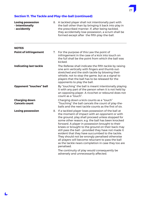$\blacktriangle$ 

| <b>Losing possession</b><br>- intentionally<br>- accidently |    | 8. A tackled player shall not intentionally part with<br>the ball other than by bringing it back into play in<br>the prescribed manner. If, after being tackled,<br>they accidentally lose possession, a scrum shall be<br>formed except after the fifth play-the-ball.                                                                                                                                                                                                                                                                                                                                           |
|-------------------------------------------------------------|----|-------------------------------------------------------------------------------------------------------------------------------------------------------------------------------------------------------------------------------------------------------------------------------------------------------------------------------------------------------------------------------------------------------------------------------------------------------------------------------------------------------------------------------------------------------------------------------------------------------------------|
| <b>NOTES</b>                                                |    |                                                                                                                                                                                                                                                                                                                                                                                                                                                                                                                                                                                                                   |
| <b>Point of infringement</b>                                | 7. | For the purpose of this Law the point of<br>infringement in the case of a kick into touch on<br>the full shall be the point from which the ball was<br>kicked.                                                                                                                                                                                                                                                                                                                                                                                                                                                    |
| <b>Indicating last tackle</b>                               |    | The Referee shall indicate the fifth tackle by raising<br>one arm vertically with fingers and thumb out-<br>stretched and the sixth tackle by blowing their<br>whistle, not to stop the game, but as a signal to<br>players that the ball has to be released for the<br>opponents to play the ball.                                                                                                                                                                                                                                                                                                               |
| <b>Opponent "touches" ball</b>                              |    | By "touching" the ball is meant intentionally playing<br>it with any part of the person when it is not held by<br>an opposing player. A ricochet or rebound does not<br>count as a "touch".                                                                                                                                                                                                                                                                                                                                                                                                                       |
| <b>Charging down</b><br><b>Cancels count</b>                |    | Charging down a kick counts as a "touch"<br>"Touching" the ball cancels the count of play-the-<br>balls and the next tackle counts as the first of six.                                                                                                                                                                                                                                                                                                                                                                                                                                                           |
| <b>Losing possession</b>                                    |    | 8. If a tackled player loses possession of the ball at<br>the moment of impact with an opponent or with<br>the ground, play shall proceed unless stopped for<br>some other reason, e.g. the ball has been knocked<br>forward. A player in possession brought to their<br>knees or brought to the ground on their back may<br>still pass the ball - provided they have not made it<br>evident that they have succumbed to the tackle.<br>They should not be wrongly penalised otherwise<br>all players will become reluctant to pass the ball<br>as the tackle nears completion in case they too are<br>penalised. |
|                                                             |    | The continuity of play would consequently be<br>adversely and unnecessarily affected.                                                                                                                                                                                                                                                                                                                                                                                                                                                                                                                             |

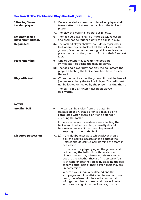

| "Stealing" from<br>tackled player            | 9. Once a tackle has been completed, no player shall<br>take or attempt to take the ball from the tackled<br>player.                                                                                                                          |
|----------------------------------------------|-----------------------------------------------------------------------------------------------------------------------------------------------------------------------------------------------------------------------------------------------|
|                                              | 10. The play-the-ball shall operate as follows.                                                                                                                                                                                               |
| <b>Release tackled</b><br>player immediately | (a) The tackled player shall be immediately released<br>and shall not be touched until the ball is in play.                                                                                                                                   |
| <b>Regain feet</b>                           | (b) The tackled player shall without delay regain their<br>feet where they are tackled, lift the ball clear of the<br>ground, face their opponent's goal line and drop or<br>place the ball on the ground in front of their foremost<br>foot. |
| <b>Player marking</b>                        | (c) One opponent may take up the position<br>immediately opposite the tackled player.                                                                                                                                                         |
|                                              | (d) The tackled player may not play the ball before the<br>players effecting the tackle have had time to clear<br>the ruck.                                                                                                                   |
| <b>Play with foot</b>                        | (e) When the ball touches the ground it must be heeled<br>(i.e. backwards) by the tackled player. The ball must<br>not be kicked or heeled by the player marking them.                                                                        |
|                                              | The ball is in play when it has been played<br>backwards.                                                                                                                                                                                     |

| <b>NOTES</b>               |    |                                                                                                                                                                                                                                                                                                                                   |
|----------------------------|----|-----------------------------------------------------------------------------------------------------------------------------------------------------------------------------------------------------------------------------------------------------------------------------------------------------------------------------------|
| <b>Stealing ball</b>       | 9. | The ball can be stolen from the player in<br>possession at any stage prior to a tackle being<br>completed when there is only one defender<br>effecting the tackle.                                                                                                                                                                |
|                            |    | If there are two or more defenders effecting the<br>tackle and the ball is stolen, a penalty should<br>be awarded except if the player in possession is<br>attempting to ground the ball.                                                                                                                                         |
| <b>Disputed possession</b> |    | 10. (a) If any doubt arises as to which player should<br>play-the-ball (i.e. possession is disputed) the<br>Referee should call "'s ball" naming the team in<br>possession.                                                                                                                                                       |
|                            |    | In the case of a player lying on the ground and<br>not holding the ball with both hands or arms,<br>circumstances may arise where there is some<br>doubt as to whether they are "in possession". If<br>with hand or arm they are fairly clasping the ball<br>to some other part of their person then they are<br>"in possession". |
|                            |    | Where play is irregularly affected and the<br>stoppage cannot be attributed to any particular<br>team, the referee will decide that a mutual<br>infringement has occurred and play will restart<br>with a replaying of the previous play the ball.                                                                                |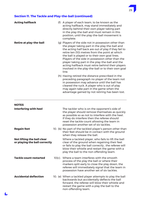| <b>Acting halfback</b>         | (f) | A player of each team, to be known as the<br>acting halfback, may stand immediately and<br>directly behind their own player taking part<br>in the play-the-ball and must remain in this<br>position, until the play-the-ball movement is<br>complete.                                                                                                                                                                                                                                         |
|--------------------------------|-----|-----------------------------------------------------------------------------------------------------------------------------------------------------------------------------------------------------------------------------------------------------------------------------------------------------------------------------------------------------------------------------------------------------------------------------------------------------------------------------------------------|
| <b>Retire at play-the-ball</b> |     | (g) Players of the side not in possession other than<br>the player taking part in the play-the-ball and<br>the acting half back are out of play if they fail to<br>retire ten (10) metres from the point at which<br>the ball is played or to their own goal lines.<br>Players of the side in possession other than the<br>player taking part in the play-the-ball and the<br>acting halfback must retire behind their players<br>involved in the play-the-ball or to their own goal<br>line. |
|                                |     | (h) Having retired the distance prescribed in the<br>preceding paragraph no player of the team not<br>in possession may advance until the ball has<br>cleared the ruck. A player who is out of play<br>may again take part in the game when the<br>advantage gained by not retiring has been lost.                                                                                                                                                                                            |

#### **NOTES**

 $\blacktriangle$ 

| Interfering with heel                                       | The tackler who is on the opponent's side of<br>the player should remove themselves as quickly<br>as possible so as not to interfere with the heel.<br>If they do interfere then the referee should<br>reset the tackle count allowing the team in<br>possession another set of six tackles. |
|-------------------------------------------------------------|----------------------------------------------------------------------------------------------------------------------------------------------------------------------------------------------------------------------------------------------------------------------------------------------|
| <b>Regain feet</b>                                          | 10. (b) No part of the tackled player's person other than<br>their feet should be in contact with the ground<br>when they release the ball.                                                                                                                                                  |
| Not lifting the ball clear<br>or playing the ball correctly | Where a tackled player, who fails to lift the ball<br>clear of the ground when regaining their feet<br>or fails to play the ball correctly, the referee will<br>blow their whistle and restart the game with a<br>play the ball to the non offending team.                                   |
| <b>Tackle count restarted</b>                               | 10(c). Where a team interferes with the smooth<br>process of the play the ball or where their<br>markers split early to close the play down, the<br>referee will immediately signal that the team in<br>possession have another set of six tackles.                                          |
| <b>Accidental deflection</b>                                | 10. (e) When a tackled player attempts to play the ball<br>backwards but accidentally deflects the ball<br>forward, the referee will blow their whistle and<br>restart the game with a play the ball to the<br>non-offending team.                                                           |

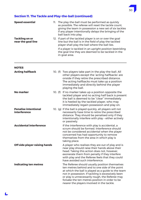| <b>Speed essential</b>                      | 11. | The play-the-ball must be performed as quickly<br>as possible. The referee will reset the tackle count.<br>giving the team in possession a new set of six tackles<br>if any player intentionally delays the bringing of the<br>ball back into play. |
|---------------------------------------------|-----|-----------------------------------------------------------------------------------------------------------------------------------------------------------------------------------------------------------------------------------------------------|
| <b>Tackling on or</b><br>near the goal line |     | 12. If part of the tackled player is on or over the goal<br>line but the ball is in the field of play the tackled<br>player shall play the ball where the ball lies.                                                                                |
|                                             |     | If a player is tackled in an upright position bestriding<br>the goal line they are deemed to be tackled in the<br>in-goal area.                                                                                                                     |

#### **NOTES**

| <b>Acting halfback</b>                      |  | 10. (f) Two players take part in the play-the-ball. All<br>other players except the 'acting halfbacks' are<br>onside if they retire the prescribed distance.<br>The acting halfbacks must take up a position<br>immediately and directly behind the player<br>playing the ball.                                                                                 |
|---------------------------------------------|--|-----------------------------------------------------------------------------------------------------------------------------------------------------------------------------------------------------------------------------------------------------------------------------------------------------------------------------------------------------------------|
| <b>No marker</b>                            |  | 10. (f) If no marker takes up a position opposite the<br>tackled player and no acting half back is present<br>the ball is deemed to be "clear" immediately<br>it is heeled by the tackled player, who may<br>immediately regain possession and play on.                                                                                                         |
| <b>Penalise intentional</b><br>interference |  | 10. (g) If the ball is played quickly, all players will not<br>necessarily have time to retire the prescribed<br>distance. They should be penalised only if they<br>intentionally interfere with play - either actively<br>or passively.                                                                                                                        |
| <b>Accidental interference</b>              |  | If the interference with play is accidental, a<br>scrum should be formed. Interference should<br>not be considered accidental when the player<br>concerned has had opportunity to remove<br>themselves from the area in which play is<br>taking place.                                                                                                          |
| Off side player raising hands               |  | A player who realises they are out of play and is<br>near play should raise their hands above their<br>head. Taking this action does not, however,<br>exonerate them from penalty if they interfere<br>with play and the Referee feels that they could<br>have avoided such interference.                                                                       |
| Indicating ten metres                       |  | The Referee should usually position themselves<br>ten metres behind and to one side of the point<br>at which the ball is played as a guide to the team<br>not in possession. If tackling is excessively keen<br>or play is unnecessarily rough, the Referee may<br>forsake the ten metres position in order to be<br>nearer the players involved in the tackle. |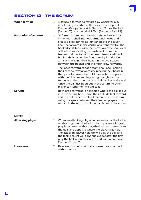# SECTION 12 - THE SCRUM

| <b>When formed</b>          |    | 1. A scrum is formed to restart play whenever play<br>is not being restarted with a kick off, a drop-out<br>(Section 8), a penalty kick (Section 13) play-the-ball<br>(Section II) or optional kick/Tap (Sections 8 and 9).                                                                                                                                                                                                                                                                                                                  |
|-----------------------------|----|----------------------------------------------------------------------------------------------------------------------------------------------------------------------------------------------------------------------------------------------------------------------------------------------------------------------------------------------------------------------------------------------------------------------------------------------------------------------------------------------------------------------------------------------|
| <b>Formation of a scrum</b> | 2. | To form a scrum not more than three forwards of<br>either team shall interlock arms and heads and<br>create a clear tunnel at right angles to the touch<br>line. The forward in the centre of a front row (i.e. the<br>hooker) shall bind with their arms over the shoulders<br>of the two supporting forwards. Not more than<br>two second row forwards on each team shall pack<br>behind their respective front rows by interlocking<br>arms and placing their heads in the two spaces<br>between the hooker and their front row forwards. |
|                             |    | The loose forward of each team shall pack behind<br>their second row forwards by placing their head in<br>the space between them. All forwards must pack<br>with their bodies and legs at right angles to the<br>tunnel and the upper parts of their bodies horizontal.<br>Once the ball has been put in the scrum no other<br>player can lend their weight to it.                                                                                                                                                                           |
| <b>Scrums</b>               |    | Both prop forwards- on the side where the ball is put<br>into the scrum, MUST have their outside feet forward<br>and the halfback must feed the ball into the scrum<br>using the space between their feet. All players must<br>remain in the scrum until the ball is out of the scrum.                                                                                                                                                                                                                                                       |
| <b>NOTES</b>                |    |                                                                                                                                                                                                                                                                                                                                                                                                                                                                                                                                              |
| <b>Attacking player</b>     | 1. | When an attacking player, in possession of the ball, is<br>unable to ground the ball in the opponent's in-goal,<br>play is restarted with a play-the-ball ten metres from<br>the goal line opposite where the player was held.<br>The attacking player held up will play the ball and<br>the tackle count will continue except after the fifth<br>play the ball when play will restart with a handover<br>(Section 11, Law 7).                                                                                                               |

31

L

**Loose arm** 2. Referees must ensure that a hooker does not pack with a loose arm.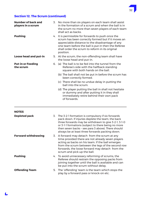

# **Section 12. The Scrum (continued)**

| Number of back and<br>players in a scrum | 3. No more than six players on each team shall assist<br>in the formation of a scrum and when the ball is in<br>the scrum no more than seven players of each team<br>shall act as backs.                                                                                           |
|------------------------------------------|------------------------------------------------------------------------------------------------------------------------------------------------------------------------------------------------------------------------------------------------------------------------------------|
| <b>Pushing</b>                           | 4. It is permissible for forwards to push once the<br>scrum has been correctly formed but if it moves an<br>appreciable distance to the disadvantage of any<br>one team before the ball is put in then the Referee<br>shall order the scrum to reform in its original<br>position. |
| Loose head and put-in                    | 5. At the scrum, the non-offending team shall have<br>the loose head and put-in.                                                                                                                                                                                                   |
| <b>Put-in or Feeding</b><br>the scrum    | 6. (a) The ball is to be fed into the tunnel from the<br>Referee's side with the halfback standing<br>square with both hands on the ball.                                                                                                                                          |
|                                          | (b) The ball shall not be put in before the scrum has<br>been correctly formed.                                                                                                                                                                                                    |
|                                          | (c) There shall be no undue delay in putting the<br>ball into the scrum.                                                                                                                                                                                                           |
|                                          | (d) The player putting the ball in shall not hesitate<br>or dummy and after putting it in they shall<br>immediately retire behind their own pack<br>of forwards.                                                                                                                   |
|                                          |                                                                                                                                                                                                                                                                                    |

### **NOTES**

| <b>Depleted pack</b>       |    | 3. The 3-2-1 formation is compulsory if six forwards<br>pack down. If injuries deplete the team, the back<br>three forwards may be withdrawn to give 3-2-1, 3-1-0<br>or 3-1-1 formations (subject to there being no more<br>then seven backs - see para 3 above). There should<br>always be at least three forwards packing down. |
|----------------------------|----|-----------------------------------------------------------------------------------------------------------------------------------------------------------------------------------------------------------------------------------------------------------------------------------------------------------------------------------|
| <b>Forward withdrawing</b> |    | 3. A forward may detach from the scrum at any<br>time provided there are not already seven players<br>acting as backs on his team. If the ball emerges<br>from the scrum between the legs of the second row<br>forwards, the loose forward may detach from the<br>scrum and pick up the ball.                                     |
| <b>Pushing</b>             |    | 4. To avoid unnecessary reforming of scrums, the<br>Referee should restrain the opposing packs from<br>joining together until the ball is available and can<br>be put into the scrum without delay.                                                                                                                               |
| <b>Offending Team</b>      | 5. | The 'offending' team is the team which stops the<br>play by a forward pass or knock-on etc.                                                                                                                                                                                                                                       |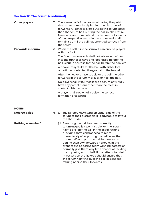

#### **Section 12. The Scrum (continued)**

| <b>Other players</b>     | 7. The scrum half of the team not having the put-in<br>shall retire immediately behind their last row of<br>forwards. All other players outside the scrum, other<br>than the scrum half putting the ball in, shall retire<br>five metres or more behind the last row of forwards<br>of their respective teams in the scrum and shall<br>remain so until the ball has emerged correctly from<br>the scrum. |
|--------------------------|-----------------------------------------------------------------------------------------------------------------------------------------------------------------------------------------------------------------------------------------------------------------------------------------------------------------------------------------------------------------------------------------------------------|
| <b>Forwards in scrum</b> | 8. When the ball is in the scrum it can only be played<br>with the foot.                                                                                                                                                                                                                                                                                                                                  |
|                          | The front row forwards shall not advance their feet<br>into the tunnel or have one foot raised before the<br>ball is put in or strike for the ball before the hookers.                                                                                                                                                                                                                                    |
|                          | A hooker may strike for the ball with either foot<br>once it has contacted the ground in the tunnel.                                                                                                                                                                                                                                                                                                      |
|                          | After the hookers have struck for the ball the other<br>forwards in the scrum may kick or heel the ball.                                                                                                                                                                                                                                                                                                  |
|                          | No player shall wilfully collapse a scrum or wilfully<br>have any part of them other than their feet in<br>contact with the ground.                                                                                                                                                                                                                                                                       |
|                          | A player shall not wilfully delay the correct<br>formation of a scrum.                                                                                                                                                                                                                                                                                                                                    |
| NOTES                    |                                                                                                                                                                                                                                                                                                                                                                                                           |

# **Referee's side** 6. (a) The Referee may stand on either side of the scrum at their discretion. It is advisable to favour the short side. **Retiring scrum half** (d) Assuming the ball has been correctly scrummaged it is permissible for the scrum half to pick up the ball in the act of retiring

providing they commenced to retire immediately after putting the ball in. As the scrum half who puts the ball in must retire behind their own forwards it should, in the event of the opposing team winning possession, normally give them very little chance of tackling the opposing scrum half. If the latter is tackled in possession the Referee should ensure that the scrum half who puts the ball in is indeed retiring behind their forwards.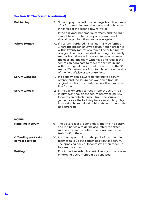

# **Section 12. The Scrum (continued)**

| <b>Ball in play</b>                        | 9. To be in play, the ball must emerge from the scrum<br>after first emerging from between and behind the<br>inner feet of the second row forwards.<br>If the ball does not emerge correctly and the fault<br>cannot be attributed to any one team then it<br>should be put into the scrum once again.                                                                                                                                                                                                                                 |
|--------------------------------------------|----------------------------------------------------------------------------------------------------------------------------------------------------------------------------------------------------------------------------------------------------------------------------------------------------------------------------------------------------------------------------------------------------------------------------------------------------------------------------------------------------------------------------------------|
| <b>Where formed</b>                        | 10. If a scrum is ordered it shall normally be formed<br>where the breach of Laws occurs. If such breach is<br>within twenty metres of a touch line or ten metres<br>of a goal line the scrum shall be brought in twenty<br>metres from the touch line and ten metres from<br>the goal line. The team with head and feed at the<br>scrum can nominate to move the scrum, in line<br>with the original mark, to set the scrum on the 10<br>metre, 20 metre mark from touch on the same side<br>of the field of play or to centre field. |
| <b>Scrum wanders</b>                       | 11. If a penalty kick is awarded relating to a scrum<br>offence and the scrum has wandered from its<br>original position, the mark is where the scrum was<br>first formed.                                                                                                                                                                                                                                                                                                                                                             |
| <b>Scrum wheels</b>                        | 12. If the ball emerges correctly from the scrum it is<br>in play even though the scrum has wheeled. Any<br>forward can detach himself from the scrum to<br>gather or kick the ball. Any back can similarly play<br>it provided he remained behind the scrum until the<br>ball emerged.                                                                                                                                                                                                                                                |
| <b>NOTES</b>                               |                                                                                                                                                                                                                                                                                                                                                                                                                                                                                                                                        |
| <b>Handling in scrum</b>                   | 9. The players' feet are continually moving in a scrum<br>and it is not easy to define accurately the exact<br>moment when the ball can be considered to be<br>truly "out" of the scrum.                                                                                                                                                                                                                                                                                                                                               |
| Offending pack take up<br>correct position | 10. It is the responsibility of the pack of the offending<br>team to take up the correct position for a scrum.<br>The opposing pack of forwards will then move up<br>to form the scrum.                                                                                                                                                                                                                                                                                                                                                |
| <b>Butting</b>                             | Front row forwards who butt violently in the course<br>of forming a scrum should be penalised.                                                                                                                                                                                                                                                                                                                                                                                                                                         |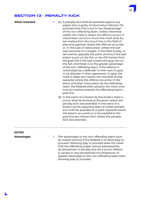## SECTION 13 - PENALTY KICK

- **When awarded** 1. (a) A penalty kick shall be awarded against any player who is guilty of misconduct (Section 15) provided that this is not to the disadvantage of the non-offending team. Unless otherwise stated, the mark is where the offence occurs. If misconduct occurs in touch the mark shall be ten metres from the touch line in the field of play and opposite where the offence occurred or, in the case of obstruction, where the ball next bounces or is caught, in the field of play, or ten metres opposite the point of entry if the ball enters touch on the full, or ten (10) metres from the goal line if the ball crosses the goal line on the full, whichever is to the greater advantage of the non-offending team. If the offence is committed by a defender in their own in-goal or an attacker in their opponents' in-goal, the mark is taken ten metres into the field of play opposite where the offence occurred. In the event of further misconduct by the offending team, the Referee shall advance the mark once only ten metres towards the offending team's goal line.
	- (b) In the event of a breach by the kicker's team a scrum shall be formed at the point where the penalty kick was awarded. In the event of a breach by the opposing team a further penalty kick shall be awarded at a point opposite where the breach occurred on a line parallel to the goal line ten metres from where the penalty kick was awarded.

# **NOTES**

**Advantages** 1. The advantages to the non-offending team must be readily obvious if the Referee is to allow play to proceed. Allowing play to proceed does not mean that the offending player cannot subsequently be disciplined. A penalty kick for a scrum offence is, except in very exceptional circumstances, of greater advantage to the non-offending team than allowing play to proceed.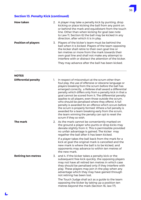

# **Section 13. Penalty Kick (continued)**

| <b>How taken</b>           | 2. A player may take a penalty kick by punting, drop<br>kicking or place kicking the ball from any point on<br>or behind the mark and equidistant from the touch<br>line. Other than when kicking for goal (see note<br>to Law II, Section 6) the ball may be kicked in any<br>direction, after which it is in play.                                                                |
|----------------------------|-------------------------------------------------------------------------------------------------------------------------------------------------------------------------------------------------------------------------------------------------------------------------------------------------------------------------------------------------------------------------------------|
| <b>Position of players</b> | 3. Players of the kicker's team must be behind the<br>ball when it is kicked. Players of the team opposing<br>the kicker shall retire to their own goal line or<br>ten metres or more from the mark towards their<br>own goal line and shall not make any attempt to<br>interfere with or distract the attention of the kicker.<br>They may advance after the ball has been kicked. |

#### **NOTES**

| <b>Differential penalty</b> | 1. | In respect of misconduct at the scrum other than<br>foul play, the use of offensive or obscene language or<br>players breaking from the scrum before the ball has<br>emerged correctly, a Referee shall award a differential<br>penalty which differs only from a penalty kick in that a<br>goal cannot be scored from it. The differential penalty<br>applies to all players, even those outside the scrum,<br>who should be penalised where they offend. A full<br>penalty is awarded for an offence which occurs before<br>the scrum is properly formed. Where a full penalty is<br>awarded for a team breaking early from the scrum,<br>the team winning the penalty can opt to reset the<br>scrum if they so wish. |
|-----------------------------|----|-------------------------------------------------------------------------------------------------------------------------------------------------------------------------------------------------------------------------------------------------------------------------------------------------------------------------------------------------------------------------------------------------------------------------------------------------------------------------------------------------------------------------------------------------------------------------------------------------------------------------------------------------------------------------------------------------------------------------|
| The mark                    | 2. | As the mark cannot be conveniently marked on<br>the ground a player who punts or drop kicks may<br>deviate slightly from it. This is permissible provided<br>no unfair advantage is gained. The kicker may<br>regather the ball after it has been kicked.                                                                                                                                                                                                                                                                                                                                                                                                                                                               |
|                             |    | If a player takes the ball back from the mark for a<br>kick at goal the original mark is cancelled and the<br>new mark is where the ball is to be kicked, and<br>opponents may advance to within ten metres of<br>the new mark.                                                                                                                                                                                                                                                                                                                                                                                                                                                                                         |
| <b>Retiring ten metres</b>  | 3. | and 4. If the kicker takes a penalty kick or the<br>subsequent free kick quickly, the opposing players<br>may not have all retired ten metres in which case<br>they should be penalised only if they interfere with<br>play. These players may join in the play when any<br>advantage which they may have gained through<br>not retiring has been lost.                                                                                                                                                                                                                                                                                                                                                                 |
|                             |    | The Touch Judge shall act as a guide to the team<br>opposing the kicker by taking up a position ten<br>metres beyond the mark (Section 16, law 17).                                                                                                                                                                                                                                                                                                                                                                                                                                                                                                                                                                     |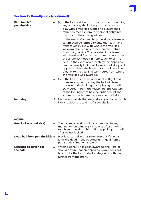# 37

# **Section 13. Penalty Kick (continued)**

| <b>Find touch from</b><br>penalty kick   |    | 4. (a) If the ball is kicked into touch without touching<br>any other play the kicking team shall restart<br>play with a free kick. Opposing players shall<br>retire ten metres from the point of entry into<br>touch or to their own goal line.                                                                                                                                                                                                                                                                                                                                    |
|------------------------------------------|----|-------------------------------------------------------------------------------------------------------------------------------------------------------------------------------------------------------------------------------------------------------------------------------------------------------------------------------------------------------------------------------------------------------------------------------------------------------------------------------------------------------------------------------------------------------------------------------------|
|                                          |    | In the event of a breach by the kicker's team, a<br>scrum shall be formed twenty metres in-field<br>from touch in line with where the free kick<br>was awarded but no closer than ten metres<br>from the goal line. The captain of the team<br>with head and feed at the scrum can opt to set<br>the scrum 10 metres in from touch or centre<br>field. In the event of a breach by the opposing<br>team a penalty kick shall be awarded at a point<br>opposite where the breach occurred on a line<br>parallel to the goal line ten metres from where<br>the free kick was awarded. |
|                                          |    | 4. (b) If the ball touches an opponent in flight and<br>then enters touch, a play the ball will take<br>place with the kicking team playing the ball,<br>20 metres in from the touch line. The Captain<br>of the kicking team has the option to set the<br>scrum on the ten metre line or centre field.                                                                                                                                                                                                                                                                             |
| No delay                                 | 5. | No player shall deliberately take any action which is<br>likely to delay the taking of a penalty kick.                                                                                                                                                                                                                                                                                                                                                                                                                                                                              |
| <b>NOTES</b>                             |    |                                                                                                                                                                                                                                                                                                                                                                                                                                                                                                                                                                                     |
| <b>Free kick (second kick)</b>           |    | 4. The ball may be kicked in any direction in any<br>manner when bringing it into play after entering<br>touch and the kicker himself may pick up the ball<br>after he has kicked it.                                                                                                                                                                                                                                                                                                                                                                                               |
| Dead ball from penalty kick 4.           |    | Play is restarted with a 20m drop-out if the ball<br>is kicked dead in the opponents' in-goal from a<br>penalty kick (Section 8, Law 3).                                                                                                                                                                                                                                                                                                                                                                                                                                            |
| <b>Refusing to surrender</b><br>the ball |    | 5. When a penalty has been awarded, the Referee<br>should ensure that an opposing player does not<br>hold on to the ball or deliberately kick or throw it<br>further from the mark.                                                                                                                                                                                                                                                                                                                                                                                                 |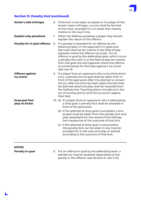

# **Section 13. Penalty Kick (continued)**

| <b>Kicker's side infringes</b>       |    | 6. If the kick is not taken as stated or if a player of the<br>kicker's team infringes, a scrum shall be formed<br>at the mark, provided it is no closer than twenty<br>metres to the touch line.                                                                                                                                                                                                                                            |
|--------------------------------------|----|----------------------------------------------------------------------------------------------------------------------------------------------------------------------------------------------------------------------------------------------------------------------------------------------------------------------------------------------------------------------------------------------------------------------------------------------|
| <b>Explain why penalised</b>         |    | 7. When the Referee penalises a player they should<br>explain the nature of the offence.                                                                                                                                                                                                                                                                                                                                                     |
| <b>Penalty for in-goal offence</b>   | 8. | If a penalty is awarded for an offence by the<br>attacking team in the opponent's in-goal area<br>the mark shall be ten metres in the field of play<br>opposite where the offence occurred. For an<br>offence in-goal by the defending team which incurs<br>a penalty the mark is in the field of play ten metres<br>from the goal line and opposite where the offence<br>occurred except for foul play against a try scorer<br>(see Law 9). |
| <b>Offence against</b><br>try scorer |    | 9. If a player fouls an opponent who is touching down<br>a try, a penalty kick at goal shall be taken from in<br>front of the goal posts after the attempt to convert<br>the try. After the kick has been taken the ball shall<br>be deemed dead and play shall be restarted from<br>the halfway line. Touching down includes a) In the<br>act of scoring and b) Until the try scorer regains<br>their feet.                                 |
| Drop goal foul<br>play on kicker     |    | 10. (a) If a player fouls an opponent who is attempting<br>a drop goal, a penalty kick shall be awarded in<br>front of the goal posts.                                                                                                                                                                                                                                                                                                       |
|                                      |    | (b) If the attempt at drop goal is successful, a kick<br>at goal must be taken from the penalty kick and<br>play restarted from the centre of the halfway<br>line irrespective of the outcome of that kick.                                                                                                                                                                                                                                  |
|                                      |    | (c) If the attempt at drop goal is unsuccessful,<br>the penalty kick can be taken in any manner<br>provided for in the Laws and play re-started<br>according to the outcome of that kick.                                                                                                                                                                                                                                                    |
| <b>NOTES</b>                         |    |                                                                                                                                                                                                                                                                                                                                                                                                                                              |

**Penalty in-goal** 9. For an offence in-goal by the defending team, a penalty try may be awarded depending on the gravity or the offence. (see Section 6, Law 3 (d).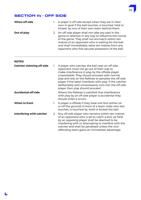

# SECTION 14 - OFF SIDE

L

| When off side                    | 1. | A player is off side except when they are in their<br>own in-goal if the ball touches, is touched, held or<br>kicked, by one of their own team behind them.                                                                                                                                                                                                                                                      |
|----------------------------------|----|------------------------------------------------------------------------------------------------------------------------------------------------------------------------------------------------------------------------------------------------------------------------------------------------------------------------------------------------------------------------------------------------------------------|
| Out of play                      | 2. | An off side player shall not take any part in the<br>game or attempt in any way to influence the course<br>of the game. They shall not encroach within ten<br>metres of an opponent who is waiting for the ball<br>and shall immediately retire ten metres from any<br>opponent who first secures possession of the ball.                                                                                        |
| <b>NOTES</b>                     |    |                                                                                                                                                                                                                                                                                                                                                                                                                  |
| <b>Catcher claiming off side</b> | 1. | A player who catches the ball near an off side<br>opponent must not go out of their way to<br>make interference in play by the offside player<br>unavoidable. They should proceed with normal<br>play and rely on the Referee to penalise the off side<br>player if the latter interferes with play. If the catcher<br>deliberately and unnecessarily runs into the off side<br>player then play should proceed. |
| <b>Accidental off side</b>       |    | Where the Referee is satisfied that interference<br>with play by an off side player is accidental they<br>should order a scrum.                                                                                                                                                                                                                                                                                  |
| <b>When in front</b>             | 1. | A player is offside if they have one foot (either on<br>or off the ground) in front of a team mate who last<br>touches, is touched by, held or kicked the ball.                                                                                                                                                                                                                                                  |
| <b>Interfering with catcher</b>  | 2. | Any off side player who remains within ten metres<br>of an opponent who is set to catch a kick up field<br>by an opposing player shall be deemed to be<br>interfering with or attempting to interfere with the                                                                                                                                                                                                   |

catcher and shall be penalised unless the nonoffending team gains an immediate advantage.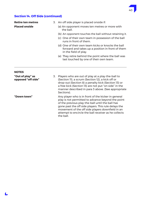

# **Section 14. Off Side (continued)**

| <b>Retire ten metres</b> |                                                                                                                                 | 3. An off side player is placed onside if:                                                    |
|--------------------------|---------------------------------------------------------------------------------------------------------------------------------|-----------------------------------------------------------------------------------------------|
| <b>Placed onside</b>     |                                                                                                                                 | (a) An opponent moves ten metres or more with<br>the ball.                                    |
|                          |                                                                                                                                 | (b) An opponent touches the ball without retaining it.                                        |
|                          |                                                                                                                                 | (c) One of their own team in possession of the ball<br>runs in front of them.                 |
|                          | (d) One of their own team kicks or knocks the ball<br>forward and takes up a position in front of them<br>in the field of play. |                                                                                               |
|                          |                                                                                                                                 | (e) They retire behind the point where the ball was<br>last touched by one of their own team. |

#### **NOTES**

| "Out of play" as<br>opposed "off side" | 3. | Players who are out of play at a play-the-ball to<br>(Section II), a scrum (Section I2), a kick off or<br>drop-out (Section 8) a penalty kick (Section 13) or<br>a free kick (Section 13) are not put "on side" in the<br>manner described in para 3 above. (See appropriate<br>Sections).                                                    |
|----------------------------------------|----|-----------------------------------------------------------------------------------------------------------------------------------------------------------------------------------------------------------------------------------------------------------------------------------------------------------------------------------------------|
| "Down town"                            |    | Any player who is in front of the kicker in general<br>play is not permitted to advance beyond the point<br>of the previous play-the-ball until the ball has<br>gone past the off side players. This rule delays the<br>movement of the off side players downfield in an<br>attempt to encircle the ball receiver as he collects<br>the ball. |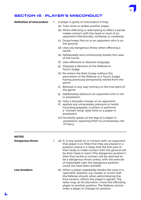# SECTION 15 - PLAYER'S MISCONDUCT

- **Definition of misconduct** 1. A player is quilty of misconduct if they:
	- (a) Trips, kicks or strikes another player.
	- (b) When effecting or attempting to effect a tackle makes contact with the head or neck of an opponent intentionally, recklessly or carelessly.
	- (c) Drops knees first on to an opponent who is on the ground.
	- (d) Uses any dangerous throw when effecting a tackle.
	- (e) Deliberately and continuously breaks the Laws of the Game.
	- (f) Uses offensive or obscene language.
	- g) Disputes a decision of the Referee or Touch Judge.
	- (h) Re-enters the field of play without the permission of the Referee or a Touch Judge having previously temporarily retired from the game.
	- (i) Behaves in any way contrary to the true spirit of the game.
	- (j) Deliberately obstructs an opponent who is not in possession.
	- (k) Uses a shoulder charge on an opponent.
	- (l) applies any unnecessary pressure or twists, including grapples, crushers or performs a "chicken wing" style hold on a player in possession.
	- (m) forcefully spears at the legs of a player in possession, exposing them to unnecessary risk of injury.

#### **NOTES**

| <b>Dangerous throw</b> | 1. | (d) If, in any tackle of, or contact with, an opponent<br>that player is so lifted that they are placed in a<br>position where it is likely that the first part of<br>their body to make contact with the ground will<br>be their head or neck ("the dangerous position").<br>then that tackle or contact will be deemed to<br>be a dangerous throw unless, with the exercise<br>of reasonable care, the dangerous position<br>could not have been avoided. |
|------------------------|----|-------------------------------------------------------------------------------------------------------------------------------------------------------------------------------------------------------------------------------------------------------------------------------------------------------------------------------------------------------------------------------------------------------------------------------------------------------------|
| <b>Law breakers</b>    |    | (e) When a player repeatedly breaks the Laws in a<br>'specialist' position, e.g. hooker or scrum half,<br>the Referee should, when administering the<br>final caution, inform the player's captain. The<br>latter may, at his discretion, move the offending<br>player to another position. The Referee cannot<br>order a player to change his position.                                                                                                    |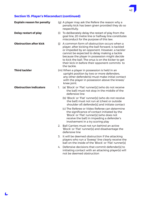# **Section 15. Player's Misconduct (continued)**

L

| <b>Explain reason for penalty</b> |     | (g) A player may ask the Refere the reason why a<br>penalty kick has been given provided they do so<br>respectfully.                                                                                                                                                                                                                                                     |
|-----------------------------------|-----|--------------------------------------------------------------------------------------------------------------------------------------------------------------------------------------------------------------------------------------------------------------------------------------------------------------------------------------------------------------------------|
| <b>Delay restart of play</b>      |     | (i) To deliberately delay the restart of play from the<br>goal line, 20 metre line or halfway line constitutes<br>misconduct for the purpose of this law.                                                                                                                                                                                                                |
| <b>Obstruction after kick</b>     | (i) | A common form of obstruction occurs when a<br>player, after kicking the ball forward, is tackled<br>or impeded by an opponent. However, a tackler<br>cannot be expected to delay making a tackle<br>because the player in possession might decide<br>to kick the ball. The onus is on the kicker to get<br>their kick in before their opponent commits to<br>the tackle. |
| <b>Third tackler</b>              |     | (m) When a player in possession is held in an<br>upright position by two or more defenders,<br>any other defender(s) must make initial contact<br>with the player in possession above the knees/<br>knee joint.                                                                                                                                                          |
| <b>Obstruction indicators</b>     | 1.  | (a) 'Block' or 'Flat' runner[s] (who do not receive<br>the ball) must not stop in the middle of the<br>defensive line                                                                                                                                                                                                                                                    |
|                                   |     | (b) 'Block' or 'Flat' runner[s] (who do not receive<br>the ball) must not run at (chest or outside<br>shoulder of) defender[s] and initiate contact                                                                                                                                                                                                                      |
|                                   |     | (c) The Referee or Video Referee can determine<br>the significance of contact initiated by the<br>'Block' or 'Flat' runner[s] (who does not<br>receive the ball) in impeding a defender's<br>involvement in a try scoring play                                                                                                                                           |
|                                   | 2.  | Ball Carriers must not run behind an active<br>'Block' or 'Flat' runner[s] and disadvantage the<br>defensive line                                                                                                                                                                                                                                                        |
|                                   | 3.  | It will be deemed obstruction if the attacking<br>players who run a 'Sweep' line clearly receive the<br>ball on the inside of the 'Block' or 'Flat' runner[s]                                                                                                                                                                                                            |
|                                   | 4.  | Defensive decisions that commit defender[s] to<br>initiating contact with an attacking player(s) will<br>not be deemed obstruction                                                                                                                                                                                                                                       |

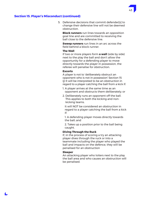#### **Section 15. Player's Misconduct (continued)**

 5. Defensive decisions that commit defender[s] to change their defensive line will not be deemed obstruction.

 **Block runners** run lines towards an opposition goal line and are committed to receiving the ball close to the defensive line.

 **Sweep runners** run lines in an arc across the field behind a block runner.

#### **The Wall**

If two or more players form **a wall** (side by side) next to the play the ball and don't allow the opportunity for a defending player to move directly towards the player in possession, the referee will penalise for obstruction.

#### **Escorts**

A player is not to 'deliberately obstruct an opponent who is not in possession' Section 15 (j) It will be interpreted to be an obstruction in regard to a player catching the ball from a kick if:

- 1. A player arrives at the same time as an opponent and obstructs them deliberately; or
- 2. Deliberately runs an opponent off the ball. This applies to both the kicking and nonkicking teams.

 It will NOT be considered an obstruction in regard to a player catching the ball from a kick if:

 1. A defending player moves directly towards the ball; and

 2. Takes up a position prior to the ball being caught.

#### **Diving Through the Ruck**

If, in the process of scoring a try an attacking player dives through the ruck or into a teammate including the player who played the ball and impacts on the defence, they will be penalised for an obstruction

#### **Sleeper**

An attacking player who loiters next to the play the ball area and who causes an obstruction will be penalised.

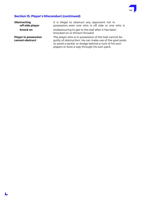

## **Section 15. Player's Misconduct (continued)**

| <b>Obstructing</b><br>-off side player         | It is illegal to obstruct any opponent not in<br>possession, even one who is off side or one who is                                                                                                                      |
|------------------------------------------------|--------------------------------------------------------------------------------------------------------------------------------------------------------------------------------------------------------------------------|
| -knock on                                      | endeavouring to get to the ball after it has been<br>knocked on or thrown forward.                                                                                                                                       |
| <b>Player in possession</b><br>cannot obstruct | The player who is in possession of the ball cannot be<br>quilty of obstruction. He can make use of the goal posts<br>to avoid a tackle, or dodge behind a ruck of his own<br>players or bore a way through his own pack. |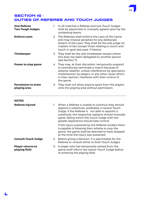# SECTION 16 - DUTIES OF REFEREE AND TOUCH JUDGES

| <b>One Referee</b><br><b>Two Tough Judges</b> | 1. | In all matches a Referee and two Touch Judges<br>shall be appointed or mutually agreed upon by the<br>contesting teams.                                                                                                                                                                                      |
|-----------------------------------------------|----|--------------------------------------------------------------------------------------------------------------------------------------------------------------------------------------------------------------------------------------------------------------------------------------------------------------|
| <b>Enforce Laws</b>                           | 2. | The Referees shall enforce the Laws of the Game<br>and may impose penalties for any deliberate<br>breach of the Laws. They shall be the sole judge on<br>matters of fact except those relating to touch and<br>touch in-goal (see para. 11 below).                                                           |
| <b>Timekeeper</b>                             |    | 3. They shall be the sole timekeeper except where<br>this duty has been delegated to another person<br>(see Section 7).                                                                                                                                                                                      |
| <b>Power to stop game</b>                     |    | 4. They may, at their discretion, temporarily suspend<br>or prematurely terminate a match because of<br>adverse weather, undue interference by spectators,<br>misbehaviour by players, or any other cause which,<br>in their opinion, interferes with their control of<br>the game.                          |
| <b>Permission to enter</b><br>playing area    |    | 5. They shall not allow anyone apart from the players<br>onto the playing area without permission.                                                                                                                                                                                                           |
| <b>NOTES</b>                                  |    |                                                                                                                                                                                                                                                                                                              |
| <b>Referee injured</b>                        |    | 1. When a Referee is unable to continue they should<br>appoint a substitute, preferably a neutral Touch<br>Judge. If the Referee is not able to appoint a<br>substitute, the respective captains should mutually<br>agree, failing which the Touch Judge with the<br>greater experience should take control. |
|                                               |    | If the injury sustained by the Referee renders them<br>incapable of blowing their whistle to stop the<br>game, the game shall be deemed to have stopped<br>at the time the injury was sustained.                                                                                                             |
| <b>Consult Touch Judge</b>                    |    | 2. Before giving a decision, it is permissible for the<br>Referee to consult either or both Touch Judges.                                                                                                                                                                                                    |
| <b>Player returns to</b><br>playing field     |    | 5. A player who has temporarily retired from the<br>game shall inform the nearer Touch Judge before                                                                                                                                                                                                          |

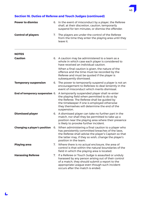

| <b>Power to dismiss</b>             |    | 6. In the event of misconduct by a player, the Referee<br>shall, at their discretion, caution, temporarily<br>suspend for ten minutes, or dismiss the offender.                                                                                             |
|-------------------------------------|----|-------------------------------------------------------------------------------------------------------------------------------------------------------------------------------------------------------------------------------------------------------------|
| <b>Control of players</b>           |    | 7. The players are under the control of the Referee<br>from the time they enter the playing area until they<br>leave it.                                                                                                                                    |
| <b>NOTES</b>                        |    |                                                                                                                                                                                                                                                             |
| <b>Caution</b>                      |    | 6. A caution may be administered to a team as a<br>whole in which case each player is considered to<br>have received an individual caution.                                                                                                                 |
|                                     |    | When a final caution is given, the nature of the<br>offence and the time must be recorded by the<br>Referee and must be quoted if the player is<br>subsequently dismissed.                                                                                  |
| <b>Temporary suspension</b>         |    | 6. The power to temporarily suspend a player is not an<br>encouragement to Referees to deal leniently in the<br>event of misconduct which merits dismissal.                                                                                                 |
| End of temporary suspension 6.      |    | A temporarily suspended player shall re-enter<br>the playing field when permitted to do so by<br>the Referee. The Referee shall be guided by<br>the timekeeper if one is employed otherwise<br>they themselves will determine the end of the<br>suspension. |
| <b>Dismissed player</b>             |    | 6. A dismissed player can take no further part in the<br>match, nor shall they be permitted to take up a<br>position near the playing area where their presence<br>is likely to provoke further incident.                                                   |
| <b>Changing a player's position</b> | 6. | When administering a final caution to a player who<br>has persistently committed breaches of the laws,<br>the Referee shall advise the player's Captain so that<br>the latter may, if they so wish, change the player's<br>position in the team.            |
| <b>Playing area</b>                 |    | 7. Where there is no actual enclosure, the area of<br>control is that within the natural boundaries of the<br>field in which the playing area is located.                                                                                                   |
| <b>Harassing Referee</b>            | 7. | If a Referee or Touch Judge is assaulted or unduly<br>harassed by any person arising out of their control<br>of a match, they should submit a report to the<br>appropriate League even though such incident<br>occurs after the match is ended.             |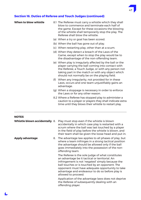

| When to blow whistle          |    | 8.1 The Referee must carry a whistle which they shall<br>blow to commence and terminate each half of<br>the game. Except for these occasions the blowing<br>of the whistle shall temporarily stop the play. The<br>Referee shall blow the whistle:                       |
|-------------------------------|----|--------------------------------------------------------------------------------------------------------------------------------------------------------------------------------------------------------------------------------------------------------------------------|
|                               |    | (a) When a try or goal has been scored.                                                                                                                                                                                                                                  |
|                               |    | (b) When the ball has gone out of play.                                                                                                                                                                                                                                  |
|                               |    | (c) When restarting play, other than at a scum.                                                                                                                                                                                                                          |
|                               |    | (d) When they detect a breach of the Laws of the<br>Game, except when to stop the play would be to<br>the disadvantage of the non-offending team.                                                                                                                        |
|                               |    | (e) When play is irregularly affected by the ball or the<br>player carrying the ball coming into contact with<br>the Referee, a Touch Judge, or with any person not<br>taking part in the match or with any object which<br>should not normally be on the playing field. |
|                               |    | (f) When any irregularity, not provided for in these<br>Laws, occurs and one team unjustifiably gains an<br>advantage.                                                                                                                                                   |
|                               |    | (g) When a stoppage is necessary in order to enforce<br>the Laws or for any other reason.                                                                                                                                                                                |
|                               |    | 8.2 Where a Referee has stopped play to administer a<br>caution to a player or players they shall indicate extra<br>time until they blows their whistle to restart play.                                                                                                 |
| <b>NOTES</b>                  |    |                                                                                                                                                                                                                                                                          |
| Whistle blown accidentally 8. |    | Play must stop even if the whistle is blown<br>accidentally in which case play is restarted with a<br>scrum where the ball was last touched by a player<br>in the field of play before the whistle is blown, and<br>their team shall be given the loose head and put-in. |
| <b>Apply advantage</b>        | 8. | The advantage law applies to all phases of play, but<br>where a team infringes in a strong tactical position<br>the advantage should be allowed only if the ball<br>goes immediately into the possession of the non-<br>offending team.                                  |
|                               |    | The Referee is the sole judge of what constitutes<br>an advantage be it tactical or territorial. An<br>infringement is not 'negated' simply because the<br>ball touches or is touched by an opponent. The<br>opponent must have adequate opportunity to take             |

allowed to proceed.

 Application of the advantage laws does not deprive the Referee of subsequently dealing with an offending player.

advantage and endeavour to do so before play is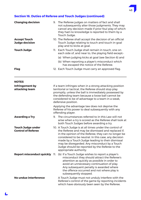

| <b>Changing decision</b>                              | 9. The Referee judges on matters of fact and shall<br>not subsequently alter those judgments. They may<br>cancel any decision made if prior foul play of which<br>they had no knowledge is reported to them by a<br>Touch Judge.                                                                                                                                                                             |
|-------------------------------------------------------|--------------------------------------------------------------------------------------------------------------------------------------------------------------------------------------------------------------------------------------------------------------------------------------------------------------------------------------------------------------------------------------------------------------|
| <b>Accept Touch</b><br><b>Judge decision</b>          | 10. The Referee shall accept the decision of an official<br>Touch Judge relating to touch and touch in-goal<br>play and to kicks at goal.                                                                                                                                                                                                                                                                    |
| Touch Judge                                           | 11. Each Touch Judge shall remain in touch, one on<br>each side of, and near to, the playing field except:-                                                                                                                                                                                                                                                                                                  |
|                                                       | (a) When judging kicks at goal (see Section 6) and                                                                                                                                                                                                                                                                                                                                                           |
|                                                       | (b) When reporting a player's misconduct which<br>has escaped the notice of the Referee.                                                                                                                                                                                                                                                                                                                     |
| Flag                                                  | 12. Each Touch Judge must carry an approved flag.                                                                                                                                                                                                                                                                                                                                                            |
| <b>NOTES</b>                                          |                                                                                                                                                                                                                                                                                                                                                                                                              |
| Infringement by<br>attacking team                     | If a team infringes when in a strong attacking position<br>territorial or tactical, the Referee should stop play<br>promptly, unless the ball is immediately possessed by<br>the defending team because a loose ball cannot be<br>considered to be of advantage to a team in a weak,<br>defensive position.                                                                                                  |
|                                                       | Applying the advantage law does not deprive the<br>Referee of his power to deal subsequently with any<br>offending player.                                                                                                                                                                                                                                                                                   |
| <b>Awarding a Try</b>                                 | The circumstances referred to in this Law will not<br>9.<br>arise when a try is scored as the Referee shall look at<br>both Touch Judges before awarding a try.                                                                                                                                                                                                                                              |
| <b>Touch Judge under</b><br><b>Control of Referee</b> | 10. A Touch Judge is at all times under the control of<br>the Referee and may be dismissed and replaced if,<br>in the opinion of the Referee, they can no longer be<br>considered to be neutral. In this case, any decision<br>made by a Touch Judge leading to their dismissal<br>may be disregarded. Any misconduct by a Touch<br>Judge should be reported by the Referee to the<br>appropriate authority. |
|                                                       | Report misconduct quickly 11. (b) If a Touch Judge wishes to report a player's<br>misconduct they should attract the Referee's<br>attention as quickly as possible in order to<br>avoid an unnecessary continuation of play.<br>Any subsequent penalty is awarded where<br>the offence occurred and not where play is<br>subsequently stopped.                                                               |
| No undue interference                                 | A Touch Judge must not unduly interfere with the<br>Referee's control of the game by reporting incidents<br>which have obviously been seen by the Referee.                                                                                                                                                                                                                                                   |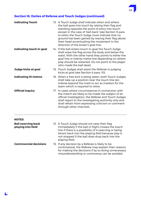| <b>Indicating Touch</b>                         | 13. A Touch Judge shall indicate when and where<br>the ball goes into touch by raising their flag and<br>standing opposite the point of entry into touch<br>except in the case of 'ball back' (see Section 9 para.<br>4) when the Touch Judge must indicate that no<br>ground has been gained by waving their flag above<br>their head accentuating the movement in the<br>direction of the kicker's goal-line. |
|-------------------------------------------------|-----------------------------------------------------------------------------------------------------------------------------------------------------------------------------------------------------------------------------------------------------------------------------------------------------------------------------------------------------------------------------------------------------------------|
| Indicating touch in-goal                        | 14. If the ball enters touch in-goal the Touch Judge<br>shall wave the flag across the body and below the<br>waist. With the other hand they points to either the<br>goal line or twenty metre line depending on where<br>play should be restarted. Do not point to the player<br>who made the ball dead.                                                                                                       |
| Judge kicks at goal                             | 15. Touch Judges shall assist the Referee in judging<br>kicks at goal (see Section 6 para. 10).                                                                                                                                                                                                                                                                                                                 |
| <b>Indicating 10 metres</b>                     | 16. When a free kick is being taken, both Touch Judges<br>shall take up a position near the touch line ten<br>metres beyond the mark to act as markers for the<br>team which is required to retire.                                                                                                                                                                                                             |
| <b>Official inquiry</b>                         | 17. In cases where circumstances in connection with<br>the match are likely to be made the subject of an<br>official investigation, the Referee and Touch Judges<br>shall report to the investigating authority only and<br>shall refrain from expressing criticism or comment<br>through other channels.                                                                                                       |
| <b>NOTES</b>                                    |                                                                                                                                                                                                                                                                                                                                                                                                                 |
| <b>Ball swerving back</b><br>playing into field | 13. A Touch Judge should not raise their flag<br>immediately if the ball in flight crosses the touch<br>line if there is a possibility of it swerving or being<br>blown back into the playing field because play is<br>not stopped if the ball does drop back into the<br>playing field.                                                                                                                        |
| <b>Controversial decisions</b>                  | 15. If any decision by a Referee is likely to be<br>controversial, the Referee may explain their reasons                                                                                                                                                                                                                                                                                                        |

L

for making the decisions if by so doing unnecessary misunderstanding or controversy can be avoided.

49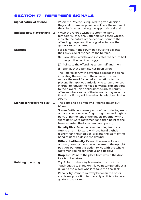# SECTION 17 - REFEREE'S SIGNALS

| <b>Signal nature of offence</b>    |    | 1. When the Referee is required to give a decision<br>they shall whenever possible indicate the nature of<br>their decision by making the appropriate signal.                                                                                                                                                                                                                                                                                          |
|------------------------------------|----|--------------------------------------------------------------------------------------------------------------------------------------------------------------------------------------------------------------------------------------------------------------------------------------------------------------------------------------------------------------------------------------------------------------------------------------------------------|
| Indicate how play restarts         | 2. | When the referee wishes to stop the game<br>temporarily, they shall, after blowing their whistle,<br>indicate the nature of the decision, point to the<br>offending player and then signal as to how the<br>game is to be restarted.                                                                                                                                                                                                                   |
| <b>Example</b>                     |    | For example, if the scrum half puts the ball into<br>their own side of the scrum the Referee:                                                                                                                                                                                                                                                                                                                                                          |
|                                    |    | (1) Blows their whistle and indicates the scrum half<br>has put the ball in wrongly                                                                                                                                                                                                                                                                                                                                                                    |
|                                    |    | (2) Points to the offending scrum half and then                                                                                                                                                                                                                                                                                                                                                                                                        |
|                                    |    | (3) Signals that a penalty has been given.                                                                                                                                                                                                                                                                                                                                                                                                             |
|                                    |    | The Referee can, with advantage, repeat the signal<br>indicating the nature of the offence in order to<br>reduce the need for verbal explanations to the<br>players. This applies particularly to scrum offences<br>in order to reduce the need for verbal explanations<br>to the players. This applies particularly to scrum<br>offences where some of the forwards may miss the<br>first signal if they still have their heads down in the<br>scrum. |
|                                    |    |                                                                                                                                                                                                                                                                                                                                                                                                                                                        |
| <b>Signals for restarting play</b> |    | 3. The signals to be given by a Referee are set out<br>below.                                                                                                                                                                                                                                                                                                                                                                                          |
|                                    |    | <b>Scrum.</b> With bent arms, palms of hands facing each<br>other at shoulder level, fingers together and slightly<br>bent, bring the tops of the fingers together with a<br>slight downward movement and then point to the<br>team awarded the loose head and put-in,                                                                                                                                                                                 |
|                                    |    | <b>Penalty Kick.</b> Face the non-offending team and<br>extend an arm forward with the hand slightly<br>higher than the shoulder level and the palm of the<br>hand at right angles to the ground.                                                                                                                                                                                                                                                      |
|                                    |    | <b>Differential Penalty.</b> Extend the arm as for an<br>ordinary penalty then move the arm to the upright<br>position. Perform this action twice with the whole<br>movement being continuous and decisive.                                                                                                                                                                                                                                            |
|                                    |    | <b>Drop-out.</b> Point to the place from which the drop<br>kick is to be taken.                                                                                                                                                                                                                                                                                                                                                                        |
| <b>Relating to scoring</b>         |    | <b>Try.</b> Point to where try is awarded. Instruct the<br>Touch Judge to stand on this point temporarily as a<br>guide to the player who is to take the goal kick.                                                                                                                                                                                                                                                                                    |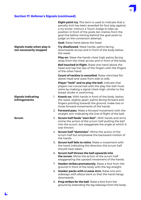| Signals made when play is<br>not necessarily stopped |    | Eight point try. This term is used to indicate that a<br>penalty kick has been awarded for foul play against<br>a try scorer. Instruct a Touch Judge to take up<br>position in front of the posts ten metres from the<br>goal line before retiring behind the goal posts to<br>judge on the conversion attempt.<br><b>Goal.</b> Raise hand above the head.<br><b>Try disallowed.</b> Wave hands, palms facing<br>downwards across and in front of the body below<br>the waist. |
|------------------------------------------------------|----|--------------------------------------------------------------------------------------------------------------------------------------------------------------------------------------------------------------------------------------------------------------------------------------------------------------------------------------------------------------------------------------------------------------------------------------------------------------------------------|
|                                                      |    | <b>Play on.</b> Wave the hands chest high palms facing<br>away from the chest across and in front of the body.                                                                                                                                                                                                                                                                                                                                                                 |
|                                                      |    | <b>Ball touched in flight.</b> Raise one hand above the<br>head and tap the tips of the fingers with the fingers<br>of the other hand.                                                                                                                                                                                                                                                                                                                                         |
|                                                      |    | <b>Count of tackles is cancelled.</b> Raise clenched fist<br>above head and wave from side to side.                                                                                                                                                                                                                                                                                                                                                                            |
|                                                      |    | Player "held" and to play the ball. Indicate that<br>players not concerned with the play-the-ball must<br>retire by making a signal chest-high, similar to the<br>breast stroke in swimming.                                                                                                                                                                                                                                                                                   |
| <b>Signals indicating</b><br><b>infringements</b>    | 1. | <b>Knock-on.</b> With hands in front of the body, below<br>the waist, slightly apart, palms facing forward and<br>fingers pointing towards the ground, make two or<br>three forward movements of the hands.                                                                                                                                                                                                                                                                    |
|                                                      |    | 2. Forward pass. Make a forward movement with the<br>straight arm indicating the line of flight of the ball.                                                                                                                                                                                                                                                                                                                                                                   |
| Scrum                                                |    | 3. Scrum half feeds "own feet". With hands and arms<br>mime the action of the scrum half putting the ball<br>into the scrum, but exaggerate the angle at which it<br>was thrown.                                                                                                                                                                                                                                                                                               |
|                                                      |    | 4. Scrum half "dummies". Mime the action of the<br>scrum half but emphasise the backward motion of<br>the hands.                                                                                                                                                                                                                                                                                                                                                               |
|                                                      |    | 5. Scrum half fails to retire. Make a movement with<br>the hand indicating the direction the scrum half<br>should have taken.                                                                                                                                                                                                                                                                                                                                                  |
|                                                      |    | 6. Scrum half throws the ball upwards into<br><b>the scrum.</b> Mime the action of the scrum half<br>exaggerating the upward movement of the hands.                                                                                                                                                                                                                                                                                                                            |
|                                                      |    | 7. <b>Hooker strikes prematurely.</b> Raise a foot from the<br>ground in front of the body with the leg straight.                                                                                                                                                                                                                                                                                                                                                              |
|                                                      |    | 8. Hooker packs with a Loose Arm. Raise one arm<br>sideways with elbow bent so that the hand hangs<br>downwards.                                                                                                                                                                                                                                                                                                                                                               |
|                                                      | 9. | <b>Prop strikes for the ball.</b> Raise a foot from the<br>ground by extending the leg sideways from the body.                                                                                                                                                                                                                                                                                                                                                                 |

51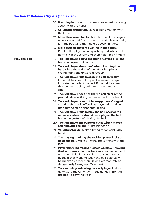|                      | 10. Handling in the scrum. Make a backward scooping<br>action with the hand.                                                                                                                                                                                                                                    |
|----------------------|-----------------------------------------------------------------------------------------------------------------------------------------------------------------------------------------------------------------------------------------------------------------------------------------------------------------|
|                      | 11. Collapsing the scrum. Make a lifting motion with<br>the hand.                                                                                                                                                                                                                                               |
|                      | 12. More than seven backs. Point to one of the players<br>who is detached from the scrum and who normally<br>is in the pack and then hold up seven fingers.                                                                                                                                                     |
|                      | 13. More than six players pushing in the scrum.<br>Point to the player who is pushing and who is not<br>normally in the scrum and then hold up six fingers.                                                                                                                                                     |
| <b>Play-the-ball</b> | 14. Tackled player delays regaining his feet. Flick the<br>had in an upward direction.                                                                                                                                                                                                                          |
|                      | 15. Tackled player 'dummies' when dropping the<br><b>ball.</b> Mime the action of the offending player<br>exaggerating the upward direction.                                                                                                                                                                    |
|                      | 16. Tackled player fails to drop the ball correctly.<br>If the ball has been dropped between the legs<br>indicate the path of the ball. If the ball has been<br>dropped to the side, point with one hand to the<br>side.                                                                                        |
|                      | 17. Tackled player does not lift the ball clear of the<br>ground. Make a lifting movement with the hand.                                                                                                                                                                                                        |
|                      | 18. Tackled player does not face opponents' in-goal.<br>Stand at the angle offending player adopted and<br>then turn to face opponents' in-goal.                                                                                                                                                                |
|                      | 19. Tackled player fails to play the ball backwards<br>or passes when he should have played the ball.<br>Mime the gesture of playing the ball.                                                                                                                                                                  |
|                      | 20. Tackled player obstructs or butts with his head<br><b>after playing the ball.</b> Mime his action.                                                                                                                                                                                                          |
|                      | 21. Voluntary tackle. Make a lifting movement with<br>hand.                                                                                                                                                                                                                                                     |
|                      | 22. The playing marking the tackled player kicks or<br>heels the ball. Make a kicking movement with the<br>foot.                                                                                                                                                                                                |
|                      | 23. Player marking retains his hold on player playing<br><b>the ball.</b> Make a decisive backward movement with<br>one hand. This signal applies to any interference<br>by the player marking when the ball is actually<br>being played other than kicking prematurely or<br>dangerously (paragraph 22 above). |
|                      | 24. Tackler delays releasing tackled player. Make a<br>downward movement with the hands in front of<br>the body below the waist.                                                                                                                                                                                |

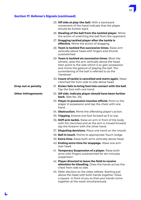- should be further back. 27. **Dragging tackled player after the tackle is effective.** Mime the action of dragging. outstretched. 'handover'. **Drop-out or penalty** 31. **Kicker fails to bring foot into contact with the ball.**  Tap the foot with one hand. **Other infringements** 32. **Off side. Indicate player should have been further back.** (See No. 25). hand. tap the forearm with the other hand.
	- 39. **Extra time.** Raise both arms vertically above head.
	- 40. **Ending extra time for stoppage.** Wave one arm over head.
	- 41. **Temporary Suspension of a player.** Raise both arms with fingers outstretched for ten minutes suspension.
	- 42. **Player directed to leave the field to receive attention for bleeding.** Draw the hands across the chest from side to side.
	- 43. Refer decision to the video referee. Starting just above the head with both hands together. Draw a square in front of you so that your hands come together at the waist simultaneously.

- 25. **Off side at play-the-ball.** With a backward movement of the hand indicate that the player
- 26. **Stealing of the ball from the tackled player.** Mime the action of snatching the ball from the opponent.
- 
- 28. **Team is tackled five successive times.** Raise arm vertically above head with fingers and thumb
- 29. **Team is tackled six successive times.** Blow the whistle, raise the arm vertically above the head, then point to the side which is to gain possession and mime the gesture of playing the ball. The surrendering of the ball is referred to as the
- 30. **Count of tackle is cancelled and starts again.** Wave clenched fist from side to side above head.
- 
- 
- 33. **Player in possession touches official.** Point to the player in possession and tap the chest with one
- 34. **Obstruction.** Mime the offending player's action.
- 35. **Tripping.** Extend one foot forward as if to trip.
- 36. **Stiff arm tackle.** Raise an arm in front of the body with fist clenched and as the arm is moved forward
- 37. **Disputing decisions.** Place one hand on the mouth.
- 38. **Ball in touch.** Points to appropriate Touch Judge.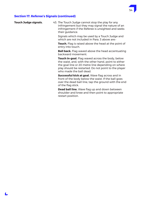

**Touch Judge signals.** 43. The Touch Judge cannot stop the play for any infringement but they may signal the nature of an infringement if the Referee is unsighted and seeks their guidance.

> Signals which may be used by a Touch Judge and which are not included in Para. 3 above are:-

 **Touch.** Flag is raised above the head at the point of entry into touch.

**Ball back.** Flag waved above the head accentuating backward movement.

**Touch in-goal.** Flag waved across the body, below the waist, and, with the other hand, point to either the goal line or 20 metre line depending on where play should be restarted. Do not point to the player who made the ball dead.

 **Successful kick at goal.** Wave flag across and in front of the body below the waist. If the ball goes over the dead ball line, tap the ground with the end of the flag stick.

 **Dead ball line.** Wave flag up and down between shoulder and knee and then point to appropriate restart position.